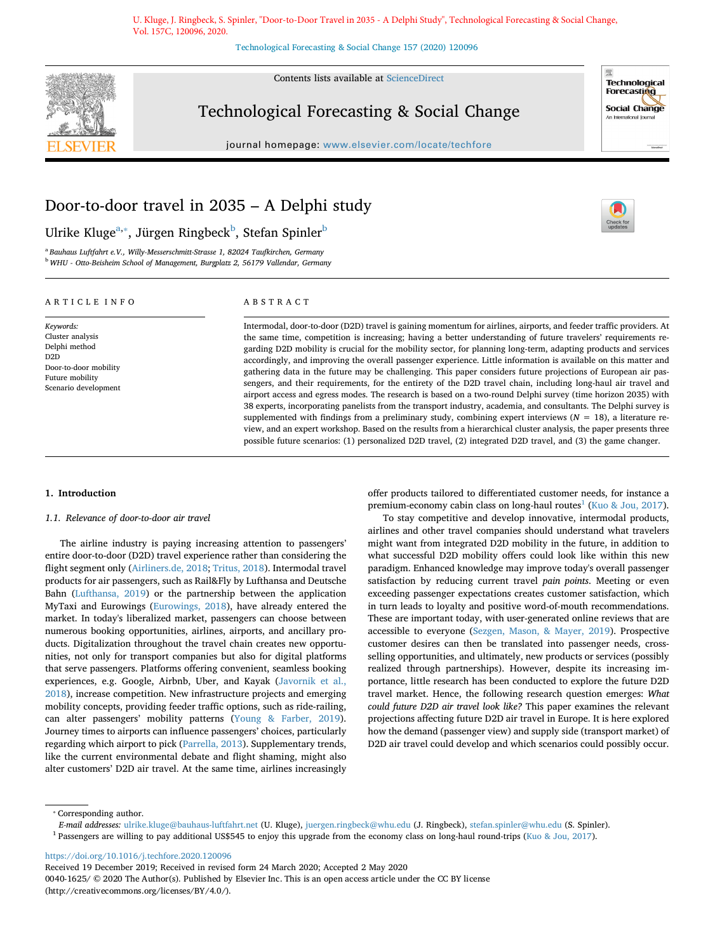U. Kluge, J. Ringbeck, S. Spinler, "Door-to-Door Travel in 2035 - A Delphi Study", Technological Forecasting & Social Change, Vol. 157C, 120096, 2020.

[Technological Forecasting & Social Change 157 \(2020\) 120096](https://doi.org/10.1016/j.techfore.2020.120096)



Contents lists available at [ScienceDirect](http://www.sciencedirect.com/science/journal/00401625)

# Technological Forecasting & Social Change



 $\frac{1}{\sqrt{2}}$ 

journal homepage: [www.elsevier.com/locate/techfore](https://www.elsevier.com/locate/techfore)

# Door-to-door travel in 2035 – A Delphi study

Ulrike Kluge $^{\mathrm{a},*}$ , Jürgen Ring[b](#page-0-2)eck $^{\mathrm{b}}$ , Stefan Spinler $^{\mathrm{b}}$ 

<span id="page-0-2"></span><span id="page-0-0"></span><sup>a</sup> *Bauhaus Luftfahrt e.V., Willy-Messerschmitt-Strasse 1, 82024 Taufkirchen, Germany* <sup>b</sup> *WHU - Otto-Beisheim School of Management, Burgplatz 2, 56179 Vallendar, Germany*

# ARTICLE INFO

Door-to-door mobility Future mobility Scenario development

*Keywords:* Cluster analysis Delphi method D2D

ABSTRACT

Intermodal, door-to-door (D2D) travel is gaining momentum for airlines, airports, and feeder traffic providers. At the same time, competition is increasing; having a better understanding of future travelers' requirements regarding D2D mobility is crucial for the mobility sector, for planning long-term, adapting products and services accordingly, and improving the overall passenger experience. Little information is available on this matter and gathering data in the future may be challenging. This paper considers future projections of European air passengers, and their requirements, for the entirety of the D2D travel chain, including long-haul air travel and airport access and egress modes. The research is based on a two-round Delphi survey (time horizon 2035) with 38 experts, incorporating panelists from the transport industry, academia, and consultants. The Delphi survey is supplemented with findings from a preliminary study, combining expert interviews ( $N = 18$ ), a literature review, and an expert workshop. Based on the results from a hierarchical cluster analysis, the paper presents three possible future scenarios: (1) personalized D2D travel, (2) integrated D2D travel, and (3) the game changer.

### <span id="page-0-4"></span>**1. Introduction**

# *1.1. Relevance of door-to-door air travel*

The airline industry is paying increasing attention to passengers' entire door-to-door (D2D) travel experience rather than considering the flight segment only ([Airliners.de, 2018](#page-12-0); [Tritus, 2018](#page-13-0)). Intermodal travel products for air passengers, such as Rail&Fly by Lufthansa and Deutsche Bahn ([Lufthansa, 2019](#page-12-1)) or the partnership between the application MyTaxi and Eurowings ([Eurowings, 2018\)](#page-12-2), have already entered the market. In today's liberalized market, passengers can choose between numerous booking opportunities, airlines, airports, and ancillary products. Digitalization throughout the travel chain creates new opportunities, not only for transport companies but also for digital platforms that serve passengers. Platforms offering convenient, seamless booking experiences, e.g. Google, Airbnb, Uber, and Kayak [\(Javornik et al.,](#page-12-3) [2018\)](#page-12-3), increase competition. New infrastructure projects and emerging mobility concepts, providing feeder traffic options, such as ride-railing, can alter passengers' mobility patterns [\(Young & Farber, 2019](#page-13-1)). Journey times to airports can influence passengers' choices, particularly regarding which airport to pick [\(Parrella, 2013](#page-12-4)). Supplementary trends, like the current environmental debate and flight shaming, might also alter customers' D2D air travel. At the same time, airlines increasingly

offer products tailored to differentiated customer needs, for instance a premium-economy cabin class on long-haul routes<sup>1</sup> ([Kuo & Jou, 2017](#page-12-5)).

To stay competitive and develop innovative, intermodal products, airlines and other travel companies should understand what travelers might want from integrated D2D mobility in the future, in addition to what successful D2D mobility offers could look like within this new paradigm. Enhanced knowledge may improve today's overall passenger satisfaction by reducing current travel *pain points*. Meeting or even exceeding passenger expectations creates customer satisfaction, which in turn leads to loyalty and positive word-of-mouth recommendations. These are important today, with user-generated online reviews that are accessible to everyone [\(Sezgen, Mason, & Mayer, 2019](#page-12-6)). Prospective customer desires can then be translated into passenger needs, crossselling opportunities, and ultimately, new products or services (possibly realized through partnerships). However, despite its increasing importance, little research has been conducted to explore the future D2D travel market. Hence, the following research question emerges: *What could future D2D air travel look like?* This paper examines the relevant projections affecting future D2D air travel in Europe. It is here explored how the demand (passenger view) and supply side (transport market) of D2D air travel could develop and which scenarios could possibly occur.

<span id="page-0-1"></span>⁎ Corresponding author.

<span id="page-0-3"></span> $1$  Passengers are willing to pay additional US\$545 to enjoy this upgrade from the economy class on long-haul round-trips ([Kuo & Jou, 2017](#page-12-5)).

<https://doi.org/10.1016/j.techfore.2020.120096>

Received 19 December 2019; Received in revised form 24 March 2020; Accepted 2 May 2020

*E-mail addresses:* [ulrike.kluge@bauhaus-luftfahrt.net](mailto:ulrike.kluge@bauhaus-luftfahrt.net) (U. Kluge), [juergen.ringbeck@whu.edu](mailto:juergen.ringbeck@whu.edu) (J. Ringbeck), [stefan.spinler@whu.edu](mailto:stefan.spinler@whu.edu) (S. Spinler).

<sup>0040-1625/ © 2020</sup> The Author(s). Published by Elsevier Inc. This is an open access article under the CC BY license (http://creativecommons.org/licenses/BY/4.0/).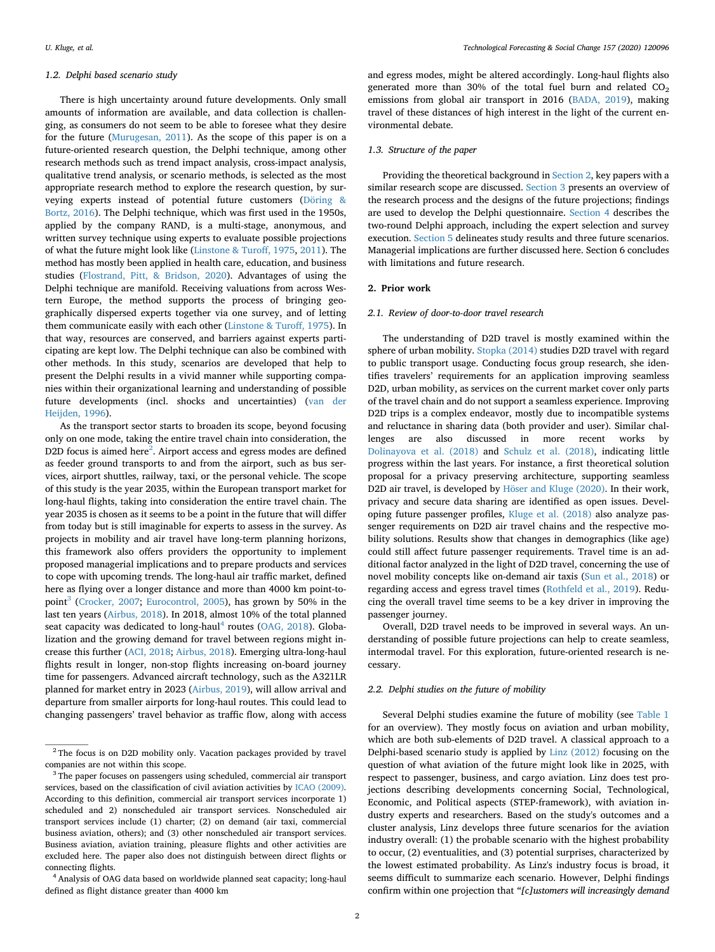#### *1.2. Delphi based scenario study*

There is high uncertainty around future developments. Only small amounts of information are available, and data collection is challenging, as consumers do not seem to be able to foresee what they desire for the future [\(Murugesan, 2011\)](#page-12-7). As the scope of this paper is on a future-oriented research question, the Delphi technique, among other research methods such as trend impact analysis, cross-impact analysis, qualitative trend analysis, or scenario methods, is selected as the most appropriate research method to explore the research question, by surveying experts instead of potential future customers ([Döring &](#page-12-8) [Bortz, 2016\)](#page-12-8). The Delphi technique, which was first used in the 1950s, applied by the company RAND, is a multi-stage, anonymous, and written survey technique using experts to evaluate possible projections of what the future might look like ([Linstone & Turoff, 1975,](#page-12-9) [2011](#page-12-10)). The method has mostly been applied in health care, education, and business studies [\(Flostrand, Pitt, & Bridson, 2020\)](#page-12-11). Advantages of using the Delphi technique are manifold. Receiving valuations from across Western Europe, the method supports the process of bringing geographically dispersed experts together via one survey, and of letting them communicate easily with each other [\(Linstone & Turoff, 1975](#page-12-9)). In that way, resources are conserved, and barriers against experts participating are kept low. The Delphi technique can also be combined with other methods. In this study, scenarios are developed that help to present the Delphi results in a vivid manner while supporting companies within their organizational learning and understanding of possible future developments (incl. shocks and uncertainties) [\(van der](#page-13-2) [Heijden, 1996\)](#page-13-2).

As the transport sector starts to broaden its scope, beyond focusing only on one mode, taking the entire travel chain into consideration, the D2D focus is aimed here<sup>2</sup>. Airport access and egress modes are defined as feeder ground transports to and from the airport, such as bus services, airport shuttles, railway, taxi, or the personal vehicle. The scope of this study is the year 2035, within the European transport market for long-haul flights, taking into consideration the entire travel chain. The year 2035 is chosen as it seems to be a point in the future that will differ from today but is still imaginable for experts to assess in the survey. As projects in mobility and air travel have long-term planning horizons, this framework also offers providers the opportunity to implement proposed managerial implications and to prepare products and services to cope with upcoming trends. The long-haul air traffic market, defined here as flying over a longer distance and more than 4000 km point-to-point<sup>[3](#page-1-1)</sup> ([Crocker, 2007;](#page-12-12) [Eurocontrol, 2005](#page-12-13)), has grown by 50% in the last ten years ([Airbus, 2018](#page-12-14)). In 2018, almost 10% of the total planned seat capacity was dedicated to long-haul<sup>[4](#page-1-2)</sup> routes [\(OAG, 2018](#page-12-15)). Globalization and the growing demand for travel between regions might increase this further ([ACI, 2018](#page-12-16); [Airbus, 2018](#page-12-14)). Emerging ultra-long-haul flights result in longer, non-stop flights increasing on-board journey time for passengers. Advanced aircraft technology, such as the A321LR planned for market entry in 2023 [\(Airbus, 2019\)](#page-12-17), will allow arrival and departure from smaller airports for long-haul routes. This could lead to changing passengers' travel behavior as traffic flow, along with access and egress modes, might be altered accordingly. Long-haul flights also generated more than 30% of the total fuel burn and related  $CO<sub>2</sub>$ emissions from global air transport in 2016 ([BADA, 2019](#page-12-18)), making travel of these distances of high interest in the light of the current environmental debate.

# *1.3. Structure of the paper*

Providing the theoretical background in [Section 2](#page-1-3), key papers with a similar research scope are discussed. [Section 3](#page-3-0) presents an overview of the research process and the designs of the future projections; findings are used to develop the Delphi questionnaire. [Section 4](#page-7-0) describes the two-round Delphi approach, including the expert selection and survey execution. [Section 5](#page-10-0) delineates study results and three future scenarios. Managerial implications are further discussed here. Section 6 concludes with limitations and future research.

# <span id="page-1-3"></span>**2. Prior work**

#### *2.1. Review of door-to-door travel research*

The understanding of D2D travel is mostly examined within the sphere of urban mobility. [Stopka \(2014\)](#page-13-3) studies D2D travel with regard to public transport usage. Conducting focus group research, she identifies travelers' requirements for an application improving seamless D2D, urban mobility, as services on the current market cover only parts of the travel chain and do not support a seamless experience. Improving D2D trips is a complex endeavor, mostly due to incompatible systems and reluctance in sharing data (both provider and user). Similar challenges are also discussed in more recent works by [Dolinayova et al. \(2018\)](#page-12-19) and [Schulz et al. \(2018\)](#page-12-20), indicating little progress within the last years. For instance, a first theoretical solution proposal for a privacy preserving architecture, supporting seamless D2D air travel, is developed by [Höser and Kluge \(2020\)](#page-12-21). In their work, privacy and secure data sharing are identified as open issues. Developing future passenger profiles, [Kluge et al. \(2018\)](#page-12-22) also analyze passenger requirements on D2D air travel chains and the respective mobility solutions. Results show that changes in demographics (like age) could still affect future passenger requirements. Travel time is an additional factor analyzed in the light of D2D travel, concerning the use of novel mobility concepts like on-demand air taxis [\(Sun et al., 2018](#page-13-4)) or regarding access and egress travel times [\(Rothfeld et al., 2019](#page-12-23)). Reducing the overall travel time seems to be a key driver in improving the passenger journey.

Overall, D2D travel needs to be improved in several ways. An understanding of possible future projections can help to create seamless, intermodal travel. For this exploration, future-oriented research is necessary.

## *2.2. Delphi studies on the future of mobility*

Several Delphi studies examine the future of mobility (see [Table 1](#page-2-0) for an overview). They mostly focus on aviation and urban mobility, which are both sub-elements of D2D travel. A classical approach to a Delphi-based scenario study is applied by [Linz \(2012\)](#page-12-24) focusing on the question of what aviation of the future might look like in 2025, with respect to passenger, business, and cargo aviation. Linz does test projections describing developments concerning Social, Technological, Economic, and Political aspects (STEP-framework), with aviation industry experts and researchers. Based on the study's outcomes and a cluster analysis, Linz develops three future scenarios for the aviation industry overall: (1) the probable scenario with the highest probability to occur, (2) eventualities, and (3) potential surprises, characterized by the lowest estimated probability. As Linz's industry focus is broad, it seems difficult to summarize each scenario. However, Delphi findings confirm within one projection that *"[c]ustomers will increasingly demand*

<span id="page-1-0"></span><sup>&</sup>lt;sup>2</sup> The focus is on D2D mobility only. Vacation packages provided by travel companies are not within this scope.

<span id="page-1-1"></span><sup>&</sup>lt;sup>3</sup> The paper focuses on passengers using scheduled, commercial air transport services, based on the classification of civil aviation activities by [ICAO \(2009\).](#page-12-25) According to this definition, commercial air transport services incorporate 1) scheduled and 2) nonscheduled air transport services. Nonscheduled air transport services include (1) charter; (2) on demand (air taxi, commercial business aviation, others); and (3) other nonscheduled air transport services. Business aviation, aviation training, pleasure flights and other activities are excluded here. The paper also does not distinguish between direct flights or connecting flights.

<span id="page-1-2"></span><sup>&</sup>lt;sup>4</sup> Analysis of OAG data based on worldwide planned seat capacity; long-haul defined as flight distance greater than 4000 km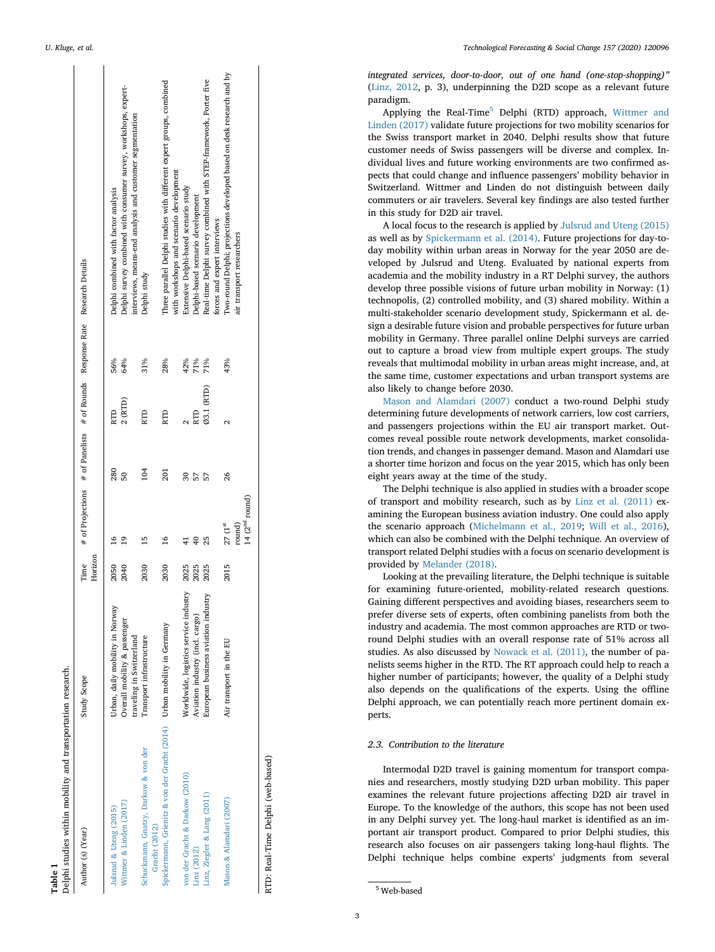$\overline{1}$ 

 $\mathbf{r}$ 

<span id="page-2-0"></span>

| Delphi studies within mobility and transportation research.<br>Table 1  |                                                          |         |                                                                                          |                 |            |     |                                                                                                                             |
|-------------------------------------------------------------------------|----------------------------------------------------------|---------|------------------------------------------------------------------------------------------|-----------------|------------|-----|-----------------------------------------------------------------------------------------------------------------------------|
| Author (s) (Year)                                                       | Study Scope                                              | Horizon | Time $\#$ of Projections $\#$ of Panelists $\#$ of Rounds Response Rate Research Details |                 |            |     |                                                                                                                             |
| Jularud & Uteng (2015)                                                  | Urban, daily mobility in Norway                          | 2050    | $\frac{6}{1}$                                                                            | 280             |            | 56% | Delphi combined with factor analysis                                                                                        |
| Wittmer & Linden (2017)                                                 | Overall mobility & passenger<br>traveling in Switzerland | 2040    | $^{9}$                                                                                   | 50              | 2(RTD)     | 64% | Delphi survey combined with consumer survey, workshops, expert-<br>interviews, means-end analysis and customer segmentation |
| Schuckmann, Gnatzy, Darkow & von der<br>Gracht (2012)                   | Transport infrastructure                                 | 2030    | 15                                                                                       | 104             | RTD        | 31% | Delphi study                                                                                                                |
| Spickermann, Grienitz & von der Gracht (2014) Urban mobility in Germany |                                                          | 2030    | $\overline{16}$                                                                          | 201             | RTD        | 28% | Three parallel Delphi studies with different expert groups, combined<br>with workshops and scenario development             |
| von der Gracht & Darkow (2010)                                          | Worldwide, logistics service industry                    | 2025    | $\overline{4}$                                                                           | $\overline{30}$ |            | 42% | Extensive Delphi-based scenario study                                                                                       |
| Linz (2012)                                                             | Aviation industry (incl. cargo)                          | 2025    | $\overline{40}$                                                                          | 57              | RTD        | 71% | Delphi-based scenario development                                                                                           |
| Linz, Ziegler & Lang (2011)                                             | European business aviation industry                      | 2025    | 25                                                                                       | 57              | 03.1 (RTD) | 71% | Real-time Delphi survey combined with STEP-framework, Porter five<br>forces and expert interviews                           |
| Mason & Alamdari (2007)                                                 | Air transport in the EU                                  | 2015    | round)<br>$27(1^{st}$                                                                    | 26              | 2          | 43% | I'wo-round Delphi; projections developed based on desk research and by<br>air transport researchers                         |
|                                                                         |                                                          |         | 14(2 <sup>nd</sup> round)                                                                |                 |            |     |                                                                                                                             |
|                                                                         |                                                          |         |                                                                                          |                 |            |     |                                                                                                                             |

RTD: Real-Time Delphi (web-based) RTD: Real-Time Delphi (web-based)

*U. Kluge, et al. Technological Forecasting & Social Change 157 (2020) 120096*

*integrated services, door-to-door, out of one hand (one-stop-shopping)"* ([Linz, 2012](#page-12-24), p. 3), underpinning the D2D scope as a relevant future paradigm.

Applying the Real-Time [5](#page-2-1) Delphi (RTD) approach, [Wittmer and](#page-13-5) [Linden \(2017\)](#page-13-5) validate future projections for two mobility scenarios for the Swiss transport market in 2040. Delphi results show that future customer needs of Swiss passengers will be diverse and complex. Individual lives and future working environments are two confirmed aspects that could change and influence passengers' mobility behavior in Switzerland. Wittmer and Linden do not distinguish between daily commuters or air travelers. Several key findings are also tested further in this study for D2D air travel.

A local focus to the research is applied by [Julsrud and Uteng \(2015\)](#page-12-26) as well as by [Spickermann et al. \(2014\).](#page-12-27) Future projections for day-today mobility within urban areas in Norway for the year 2050 are developed by Julsrud and Uteng. Evaluated by national experts from academia and the mobility industry in a RT Delphi survey, the authors develop three possible visions of future urban mobility in Norway: (1) technopolis, (2) controlled mobility, and (3) shared mobility. Within a multi-stakeholder scenario development study, Spickermann et al. design a desirable future vision and probable perspectives for future urban mobility in Germany. Three parallel online Delphi surveys are carried out to capture a broad view from multiple expert groups. The study reveals that multimodal mobility in urban areas might increase, and, at the same time, customer expectations and urban transport systems are also likely to change before 2030.

[Mason and Alamdari \(2007\)](#page-12-28) conduct a two-round Delphi study determining future developments of network carriers, low cost carriers, and passengers projections within the EU air transport market. Outcomes reveal possible route network developments, market consolidation trends, and changes in passenger demand. Mason and Alamdari use a shorter time horizon and focus on the year 2015, which has only been eight years away at the time of the study.

The Delphi technique is also applied in studies with a broader scope of transport and mobility research, such as by [Linz et al. \(2011\)](#page-12-29) examining the European business aviation industry. One could also apply the scenario approach [\(Michelmann et al., 2019](#page-12-30) ; [Will et al., 2016](#page-13-6)), which can also be combined with the Delphi technique. An overview of transport related Delphi studies with a focus on scenario development is provided by [Melander \(2018\)](#page-12-31) .

Looking at the prevailing literature, the Delphi technique is suitable for examining future-oriented, mobility-related research questions. Gaining different perspectives and avoiding biases, researchers seem to prefer diverse sets of experts, often combining panelists from both the industry and academia. The most common approaches are RTD or tworound Delphi studies with an overall response rate of 51% across all studies. As also discussed by [Nowack et al. \(2011\),](#page-12-32) the number of panelists seems higher in the RTD. The RT approach could help to reach a higher number of participants; however, the quality of a Delphi study also depends on the qualifications of the experts. Using the offline Delphi approach, we can potentially reach more pertinent domain experts.

#### *2.3. Contribution to the literature*

Intermodal D2D travel is gaining momentum for transport companies and researchers, mostly studying D2D urban mobility. This paper examines the relevant future projections affecting D2D air travel in Europe. To the knowledge of the authors, this scope has not been used in any Delphi survey yet. The long-haul market is identified as an important air transport product. Compared to prior Delphi studies, this research also focuses on air passengers taking long-haul flights. The Delphi technique helps combine experts' judgments from several

<span id="page-2-1"></span><sup>5</sup> Web-based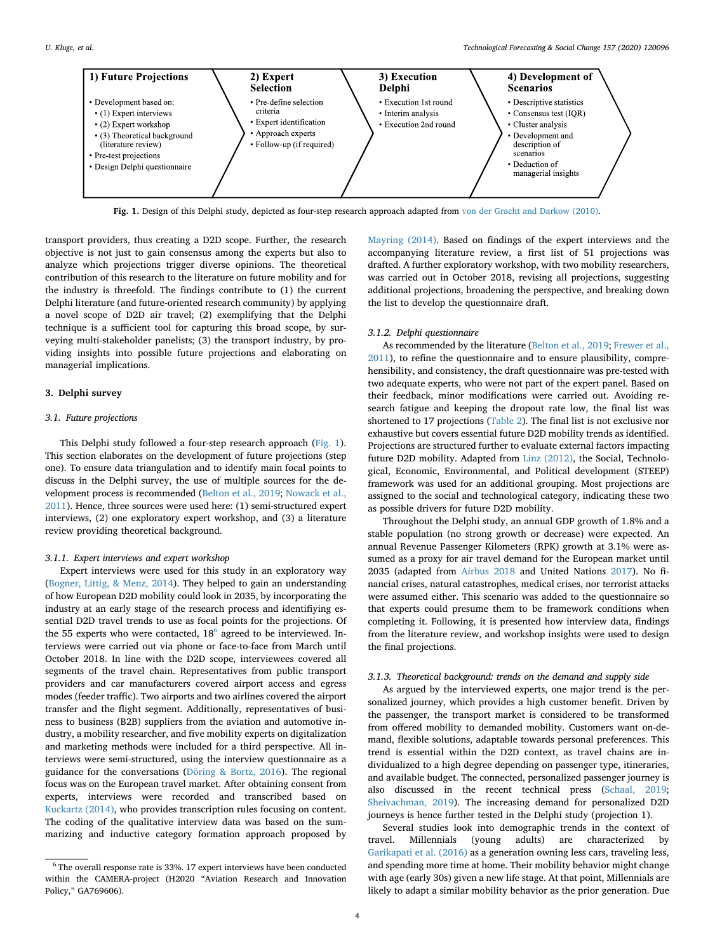<span id="page-3-1"></span>

**Fig. 1.** Design of this Delphi study, depicted as four-step research approach adapted from [von der Gracht and Darkow \(2010\).](#page-13-7)

transport providers, thus creating a D2D scope. Further, the research objective is not just to gain consensus among the experts but also to analyze which projections trigger diverse opinions. The theoretical contribution of this research to the literature on future mobility and for the industry is threefold. The findings contribute to (1) the current Delphi literature (and future-oriented research community) by applying a novel scope of D2D air travel; (2) exemplifying that the Delphi technique is a sufficient tool for capturing this broad scope, by surveying multi-stakeholder panelists; (3) the transport industry, by providing insights into possible future projections and elaborating on managerial implications.

## <span id="page-3-0"></span>**3. Delphi survey**

# *3.1. Future projections*

This Delphi study followed a four-step research approach ([Fig. 1](#page-3-1)). This section elaborates on the development of future projections (step one). To ensure data triangulation and to identify main focal points to discuss in the Delphi survey, the use of multiple sources for the development process is recommended [\(Belton et al., 2019;](#page-12-34) [Nowack et al.,](#page-12-32) [2011\)](#page-12-32). Hence, three sources were used here: (1) semi-structured expert interviews, (2) one exploratory expert workshop, and (3) a literature review providing theoretical background.

# *3.1.1. Expert interviews and expert workshop*

Expert interviews were used for this study in an exploratory way ([Bogner, Littig, & Menz, 2014](#page-12-35)). They helped to gain an understanding of how European D2D mobility could look in 2035, by incorporating the industry at an early stage of the research process and identifiying essential D2D travel trends to use as focal points for the projections. Of the 55 experts who were contacted,  $18^6$  agreed to be interviewed. Interviews were carried out via phone or face-to-face from March until October 2018. In line with the D2D scope, interviewees covered all segments of the travel chain. Representatives from public transport providers and car manufacturers covered airport access and egress modes (feeder traffic). Two airports and two airlines covered the airport transfer and the flight segment. Additionally, representatives of business to business (B2B) suppliers from the aviation and automotive industry, a mobility researcher, and five mobility experts on digitalization and marketing methods were included for a third perspective. All interviews were semi-structured, using the interview questionnaire as a guidance for the conversations ([Döring & Bortz, 2016](#page-12-8)). The regional focus was on the European travel market. After obtaining consent from experts, interviews were recorded and transcribed based on [Kuckartz \(2014\)](#page-12-36), who provides transcription rules focusing on content. The coding of the qualitative interview data was based on the summarizing and inductive category formation approach proposed by

[Mayring \(2014\).](#page-12-37) Based on findings of the expert interviews and the accompanying literature review, a first list of 51 projections was drafted. A further exploratory workshop, with two mobility researchers, was carried out in October 2018, revising all projections, suggesting additional projections, broadening the perspective, and breaking down the list to develop the questionnaire draft.

## *3.1.2. Delphi questionnaire*

As recommended by the literature [\(Belton et al., 2019](#page-12-34); [Frewer et al.,](#page-12-38) [2011\)](#page-12-38), to refine the questionnaire and to ensure plausibility, comprehensibility, and consistency, the draft questionnaire was pre-tested with two adequate experts, who were not part of the expert panel. Based on their feedback, minor modifications were carried out. Avoiding research fatigue and keeping the dropout rate low, the final list was shortened to 17 projections ([Table 2\)](#page-4-0). The final list is not exclusive nor exhaustive but covers essential future D2D mobility trends as identified. Projections are structured further to evaluate external factors impacting future D2D mobility. Adapted from [Linz \(2012\)](#page-12-24), the Social, Technological, Economic, Environmental, and Political development (STEEP) framework was used for an additional grouping. Most projections are assigned to the social and technological category, indicating these two as possible drivers for future D2D mobility.

Throughout the Delphi study, an annual GDP growth of 1.8% and a stable population (no strong growth or decrease) were expected. An annual Revenue Passenger Kilometers (RPK) growth at 3.1% were assumed as a proxy for air travel demand for the European market until 2035 (adapted from [Airbus 2018](#page-12-14) and United Nations [2017\)](#page-13-8). No financial crises, natural catastrophes, medical crises, nor terrorist attacks were assumed either. This scenario was added to the questionnaire so that experts could presume them to be framework conditions when completing it. Following, it is presented how interview data, findings from the literature review, and workshop insights were used to design the final projections.

# *3.1.3. Theoretical background: trends on the demand and supply side*

As argued by the interviewed experts, one major trend is the personalized journey, which provides a high customer benefit. Driven by the passenger, the transport market is considered to be transformed from offered mobility to demanded mobility. Customers want on-demand, flexible solutions, adaptable towards personal preferences. This trend is essential within the D2D context, as travel chains are individualized to a high degree depending on passenger type, itineraries, and available budget. The connected, personalized passenger journey is also discussed in the recent technical press [\(Schaal, 2019](#page-12-39); [Sheivachman, 2019](#page-12-40)). The increasing demand for personalized D2D journeys is hence further tested in the Delphi study (projection 1).

Several studies look into demographic trends in the context of travel. Millennials (young adults) are characterized by [Garikapati et al. \(2016\)](#page-12-41) as a generation owning less cars, traveling less, and spending more time at home. Their mobility behavior might change with age (early 30s) given a new life stage. At that point, Millennials are likely to adapt a similar mobility behavior as the prior generation. Due

<span id="page-3-2"></span> $^6$  The overall response rate is 33%. 17 expert interviews have been conducted within the CAMERA-project (H2020 "Aviation Research and Innovation Policy," GA769606).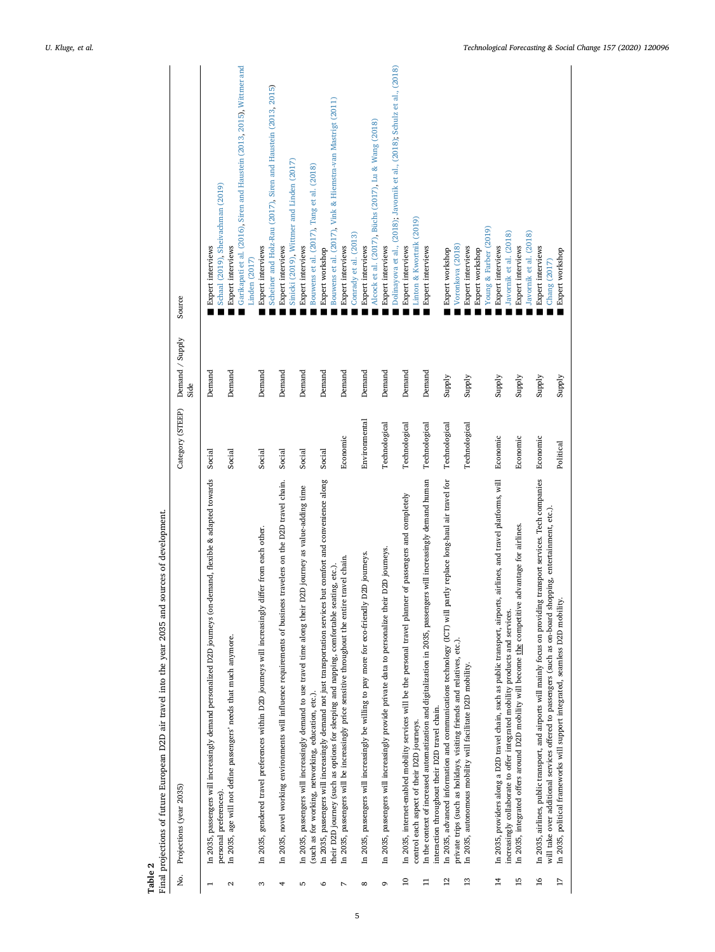<span id="page-4-0"></span>

| Χó.               | Projections (year 2035)                                                                                                                                                                                                           | Category (STEEP) | Demand / Supply<br>Side | Source                                                                                                       |
|-------------------|-----------------------------------------------------------------------------------------------------------------------------------------------------------------------------------------------------------------------------------|------------------|-------------------------|--------------------------------------------------------------------------------------------------------------|
|                   | In 2035, passengers will increasingly demand personalized D2D journeys (on-demand, flexible & adapted towards<br>personal preferences).                                                                                           | Social           | Demand                  | Schaal (2019), Sheivachman (2019)<br>Expert interviews                                                       |
| $\mathbf{\Omega}$ | In 2035, age will not define passengers' needs that much anymore.                                                                                                                                                                 | Social           | Demand                  | Garikapati et al. (2016), Siren and Haustein (2013, 2015), Wittmer and<br>Expert interviews<br>Linden (2017) |
| S                 | In 2035, gendered travel preferences within D2D journeys will increasingly differ from each other.                                                                                                                                | Social           | Demand                  | Scheiner and Holz-Rau (2017), Siren and Haustein (2013, 2015)<br>Expert interviews                           |
| 4                 | In 2035, novel working environments will influence requirements of business travelers on the D2D travel chain.                                                                                                                    | Social           | Demand                  | Sinicki (2019), Wittmer and Linden (2017)<br>Expert interviews                                               |
| 5                 | In 2035, passengers will increasingly demand to use travel time along their D2D journey as value-adding time<br>(such as for working, networking, education, etc.).                                                               | Social           | Demand                  | Bouwens et al. (2017), Tang et al. (2018)<br>Expert interviews                                               |
| م                 | In 2035, passengers will increasingly demand not just transportation services but comfort and convenience along                                                                                                                   | Social           | Demand                  | Expert workshop                                                                                              |
| L                 | in 2035, passengers will be increasingly price sensitive throughout the entire travel chain.<br>their D2D journey (such as options for sleeping and napping, comfortable seating, etc.).                                          | Economic         | Demand                  | Bouwens et al. (2017), Vink & Hiemstra-van Mastrigt (2011)<br>Conrady et al. (2013)<br>Expert interviews     |
| $\infty$          | In 2035, passengers will increasingly be willing to pay more for eco-friendly D2D journeys.                                                                                                                                       | Environmental    | Demand                  | Alcock et al. (2017), Büchs (2017), Lu & Wang (2018)<br>Expert interviews                                    |
| Ō                 | D2D journeys.<br>In 2035, passengers will increasingly provide private data to personalize their                                                                                                                                  | Technological    | Demand                  | Dolinayova et al., (2018); Javornik et al., (2018); Schulz et al., (2018)<br>Expert interviews               |
| $\approx$         | of passengers and completely<br>In 2035, internet-enabled mobility services will be the personal travel planner<br>control each aspect of their D2D journeys.                                                                     | Technological    | Demand                  | Linton & Kwortnik (2019)<br>Expert interviews                                                                |
| ።                 | In the context of increased automatization and digitalization in 2035, passengers will increasingly demand human<br>interaction throughout their D2D travel chain.                                                                | Technological    | Demand                  | Expert interviews                                                                                            |
| $\overline{c}$    | In 2035, advanced information and communications technology (ICT) will partly replace long-haul air travel for<br>private trips (such as holidays, visiting friends and relatives, etc.).                                         | Technological    | Supply                  | Voronkova (2018)<br>Expert workshop                                                                          |
| $\mathbf{13}$     | In 2035, autonomous mobility will facilitate D2D mobility                                                                                                                                                                         | Technological    | Supply                  | Young & Farber (2019)<br>Expert interviews<br>Expert workshop                                                |
| $\overline{1}$    | airlines, and travel platforms, will<br>In 2035, providers along a D2D travel chain, such as public transport, airports,<br>increasingly collaborate to offer integrated mobility products and services.                          | Economic         | Supply                  | Javornik et al. (2018)<br>Expert interviews                                                                  |
| $\overline{15}$   | In 2035, integrated offers around D2D mobility will become the competitive advantage for airlines.                                                                                                                                | Economic         | Supply                  | Javornik et al. (2018)<br>Expert interviews                                                                  |
| $\frac{6}{2}$     | In 2035, airlines, public transport, and airports will mainly focus on providing transport services. Tech companies<br>will take over additional services offered to passengers (such as on-board shopping, entertainment, etc.). | Economic         | Supply                  | Expert interviews<br>Chang (2017)                                                                            |
| 17                | In 2035, political frameworks will support integrated, seamless D2D mobility.                                                                                                                                                     | Political        | Supply                  | Expert workshop                                                                                              |

Table 2<br>Final projections of future European D2D air travel into the year 2035 and sources of development. Final projections of future European D2D air travel into the year 2035 and sources of development.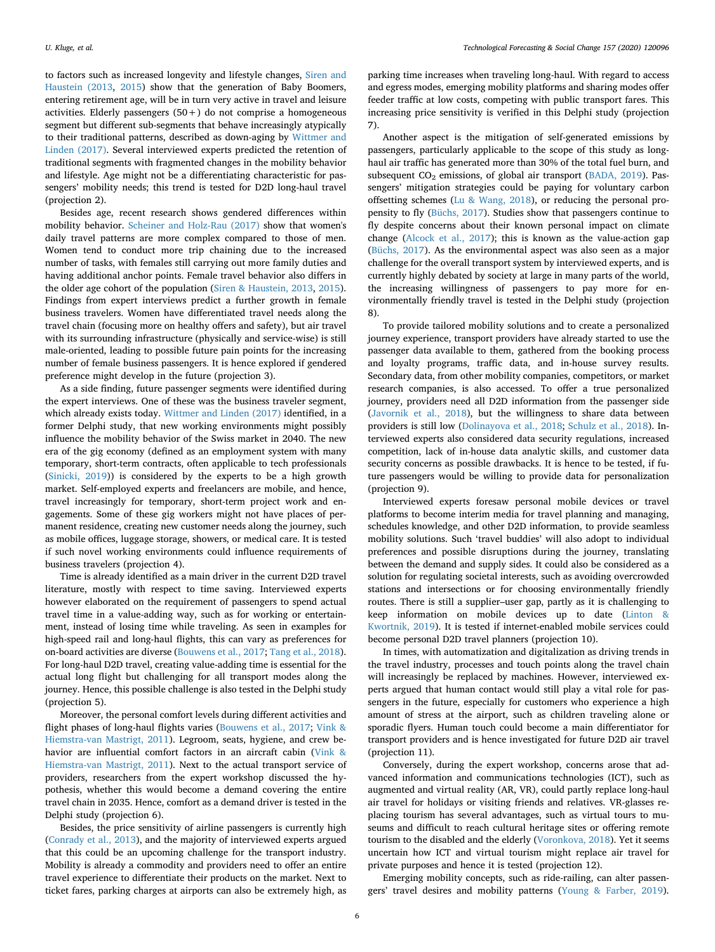to factors such as increased longevity and lifestyle changes, [Siren and](#page-12-42) [Haustein \(2013,](#page-12-42) [2015](#page-12-43)) show that the generation of Baby Boomers, entering retirement age, will be in turn very active in travel and leisure activities. Elderly passengers  $(50+)$  do not comprise a homogeneous segment but different sub-segments that behave increasingly atypically to their traditional patterns, described as down-aging by [Wittmer and](#page-13-5) [Linden \(2017\).](#page-13-5) Several interviewed experts predicted the retention of traditional segments with fragmented changes in the mobility behavior and lifestyle. Age might not be a differentiating characteristic for passengers' mobility needs; this trend is tested for D2D long-haul travel (projection 2).

Besides age, recent research shows gendered differences within mobility behavior. [Scheiner and Holz-Rau \(2017\)](#page-12-44) show that women's daily travel patterns are more complex compared to those of men. Women tend to conduct more trip chaining due to the increased number of tasks, with females still carrying out more family duties and having additional anchor points. Female travel behavior also differs in the older age cohort of the population [\(Siren & Haustein, 2013,](#page-12-42) [2015](#page-12-43)). Findings from expert interviews predict a further growth in female business travelers. Women have differentiated travel needs along the travel chain (focusing more on healthy offers and safety), but air travel with its surrounding infrastructure (physically and service-wise) is still male-oriented, leading to possible future pain points for the increasing number of female business passengers. It is hence explored if gendered preference might develop in the future (projection 3).

As a side finding, future passenger segments were identified during the expert interviews. One of these was the business traveler segment, which already exists today. [Wittmer and Linden \(2017\)](#page-13-5) identified, in a former Delphi study, that new working environments might possibly influence the mobility behavior of the Swiss market in 2040. The new era of the gig economy (defined as an employment system with many temporary, short-term contracts, often applicable to tech professionals ([Sinicki, 2019](#page-12-45))) is considered by the experts to be a high growth market. Self-employed experts and freelancers are mobile, and hence, travel increasingly for temporary, short-term project work and engagements. Some of these gig workers might not have places of permanent residence, creating new customer needs along the journey, such as mobile offices, luggage storage, showers, or medical care. It is tested if such novel working environments could influence requirements of business travelers (projection 4).

Time is already identified as a main driver in the current D2D travel literature, mostly with respect to time saving. Interviewed experts however elaborated on the requirement of passengers to spend actual travel time in a value-adding way, such as for working or entertainment, instead of losing time while traveling. As seen in examples for high-speed rail and long-haul flights, this can vary as preferences for on-board activities are diverse [\(Bouwens et al., 2017;](#page-12-46) [Tang et al., 2018](#page-13-9)). For long-haul D2D travel, creating value-adding time is essential for the actual long flight but challenging for all transport modes along the journey. Hence, this possible challenge is also tested in the Delphi study (projection 5).

Moreover, the personal comfort levels during different activities and flight phases of long-haul flights varies [\(Bouwens et al., 2017;](#page-12-46) [Vink &](#page-13-10) [Hiemstra-van Mastrigt, 2011\)](#page-13-10). Legroom, seats, hygiene, and crew behavior are influential comfort factors in an aircraft cabin [\(Vink &](#page-13-10) [Hiemstra-van Mastrigt, 2011](#page-13-10)). Next to the actual transport service of providers, researchers from the expert workshop discussed the hypothesis, whether this would become a demand covering the entire travel chain in 2035. Hence, comfort as a demand driver is tested in the Delphi study (projection 6).

Besides, the price sensitivity of airline passengers is currently high ([Conrady et al., 2013](#page-12-47)), and the majority of interviewed experts argued that this could be an upcoming challenge for the transport industry. Mobility is already a commodity and providers need to offer an entire travel experience to differentiate their products on the market. Next to ticket fares, parking charges at airports can also be extremely high, as

parking time increases when traveling long-haul. With regard to access and egress modes, emerging mobility platforms and sharing modes offer feeder traffic at low costs, competing with public transport fares. This increasing price sensitivity is verified in this Delphi study (projection 7).

Another aspect is the mitigation of self-generated emissions by passengers, particularly applicable to the scope of this study as longhaul air traffic has generated more than 30% of the total fuel burn, and subsequent CO<sub>2</sub> emissions, of global air transport ([BADA, 2019](#page-12-18)). Passengers' mitigation strategies could be paying for voluntary carbon offsetting schemes [\(Lu & Wang, 2018\)](#page-12-50), or reducing the personal propensity to fly [\(Büchs, 2017](#page-12-49)). Studies show that passengers continue to fly despite concerns about their known personal impact on climate change [\(Alcock et al., 2017\)](#page-12-48); this is known as the value-action gap ([Büchs, 2017\)](#page-12-49). As the environmental aspect was also seen as a major challenge for the overall transport system by interviewed experts, and is currently highly debated by society at large in many parts of the world, the increasing willingness of passengers to pay more for environmentally friendly travel is tested in the Delphi study (projection 8).

To provide tailored mobility solutions and to create a personalized journey experience, transport providers have already started to use the passenger data available to them, gathered from the booking process and loyalty programs, traffic data, and in-house survey results. Secondary data, from other mobility companies, competitors, or market research companies, is also accessed. To offer a true personalized journey, providers need all D2D information from the passenger side ([Javornik et al., 2018\)](#page-12-3), but the willingness to share data between providers is still low [\(Dolinayova et al., 2018;](#page-12-19) [Schulz et al., 2018](#page-12-20)). Interviewed experts also considered data security regulations, increased competition, lack of in-house data analytic skills, and customer data security concerns as possible drawbacks. It is hence to be tested, if future passengers would be willing to provide data for personalization (projection 9).

Interviewed experts foresaw personal mobile devices or travel platforms to become interim media for travel planning and managing, schedules knowledge, and other D2D information, to provide seamless mobility solutions. Such 'travel buddies' will also adopt to individual preferences and possible disruptions during the journey, translating between the demand and supply sides. It could also be considered as a solution for regulating societal interests, such as avoiding overcrowded stations and intersections or for choosing environmentally friendly routes. There is still a supplier–user gap, partly as it is challenging to keep information on mobile devices up to date [\(Linton &](#page-12-51) [Kwortnik, 2019](#page-12-51)). It is tested if internet-enabled mobile services could become personal D2D travel planners (projection 10).

In times, with automatization and digitalization as driving trends in the travel industry, processes and touch points along the travel chain will increasingly be replaced by machines. However, interviewed experts argued that human contact would still play a vital role for passengers in the future, especially for customers who experience a high amount of stress at the airport, such as children traveling alone or sporadic flyers. Human touch could become a main differentiator for transport providers and is hence investigated for future D2D air travel (projection 11).

Conversely, during the expert workshop, concerns arose that advanced information and communications technologies (ICT), such as augmented and virtual reality (AR, VR), could partly replace long-haul air travel for holidays or visiting friends and relatives. VR-glasses replacing tourism has several advantages, such as virtual tours to museums and difficult to reach cultural heritage sites or offering remote tourism to the disabled and the elderly ([Voronkova, 2018](#page-13-11)). Yet it seems uncertain how ICT and virtual tourism might replace air travel for private purposes and hence it is tested (projection 12).

Emerging mobility concepts, such as ride-railing, can alter passengers' travel desires and mobility patterns [\(Young & Farber, 2019](#page-13-1)).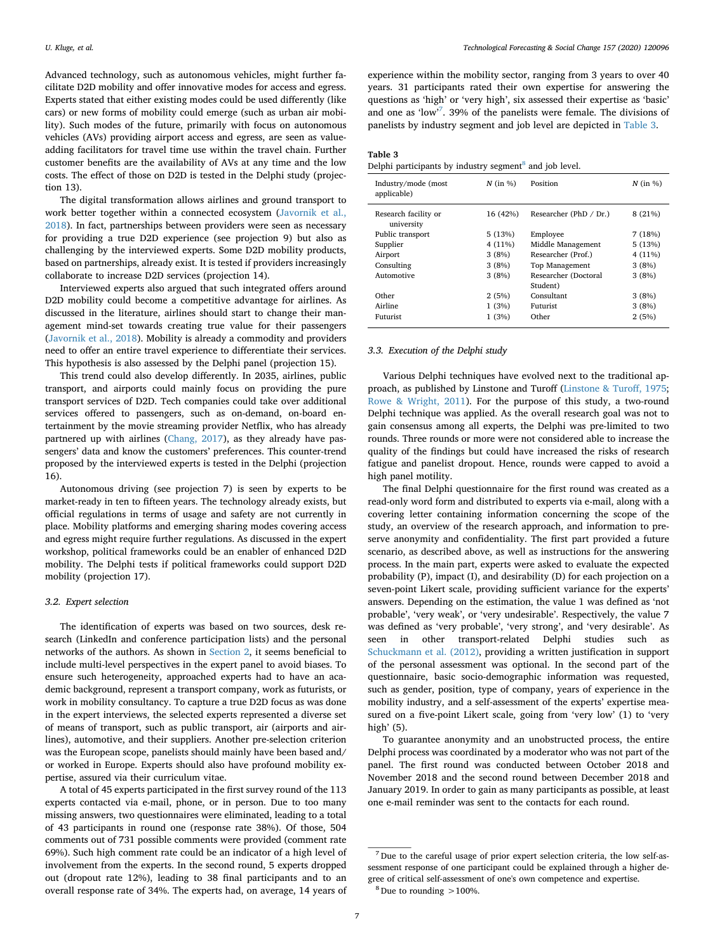Advanced technology, such as autonomous vehicles, might further facilitate D2D mobility and offer innovative modes for access and egress. Experts stated that either existing modes could be used differently (like cars) or new forms of mobility could emerge (such as urban air mobility). Such modes of the future, primarily with focus on autonomous vehicles (AVs) providing airport access and egress, are seen as valueadding facilitators for travel time use within the travel chain. Further customer benefits are the availability of AVs at any time and the low costs. The effect of those on D2D is tested in the Delphi study (projection 13).

The digital transformation allows airlines and ground transport to work better together within a connected ecosystem [\(Javornik et al.,](#page-12-3) [2018\)](#page-12-3). In fact, partnerships between providers were seen as necessary for providing a true D2D experience (see projection 9) but also as challenging by the interviewed experts. Some D2D mobility products, based on partnerships, already exist. It is tested if providers increasingly collaborate to increase D2D services (projection 14).

Interviewed experts also argued that such integrated offers around D2D mobility could become a competitive advantage for airlines. As discussed in the literature, airlines should start to change their management mind-set towards creating true value for their passengers ([Javornik et al., 2018](#page-12-3)). Mobility is already a commodity and providers need to offer an entire travel experience to differentiate their services. This hypothesis is also assessed by the Delphi panel (projection 15).

This trend could also develop differently. In 2035, airlines, public transport, and airports could mainly focus on providing the pure transport services of D2D. Tech companies could take over additional services offered to passengers, such as on-demand, on-board entertainment by the movie streaming provider Netflix, who has already partnered up with airlines ([Chang, 2017\)](#page-12-52), as they already have passengers' data and know the customers' preferences. This counter-trend proposed by the interviewed experts is tested in the Delphi (projection 16).

Autonomous driving (see projection 7) is seen by experts to be market-ready in ten to fifteen years. The technology already exists, but official regulations in terms of usage and safety are not currently in place. Mobility platforms and emerging sharing modes covering access and egress might require further regulations. As discussed in the expert workshop, political frameworks could be an enabler of enhanced D2D mobility. The Delphi tests if political frameworks could support D2D mobility (projection 17).

#### *3.2. Expert selection*

The identification of experts was based on two sources, desk research (LinkedIn and conference participation lists) and the personal networks of the authors. As shown in [Section 2,](#page-1-3) it seems beneficial to include multi-level perspectives in the expert panel to avoid biases. To ensure such heterogeneity, approached experts had to have an academic background, represent a transport company, work as futurists, or work in mobility consultancy. To capture a true D2D focus as was done in the expert interviews, the selected experts represented a diverse set of means of transport, such as public transport, air (airports and airlines), automotive, and their suppliers. Another pre-selection criterion was the European scope, panelists should mainly have been based and/ or worked in Europe. Experts should also have profound mobility expertise, assured via their curriculum vitae.

A total of 45 experts participated in the first survey round of the 113 experts contacted via e-mail, phone, or in person. Due to too many missing answers, two questionnaires were eliminated, leading to a total of 43 participants in round one (response rate 38%). Of those, 504 comments out of 731 possible comments were provided (comment rate 69%). Such high comment rate could be an indicator of a high level of involvement from the experts. In the second round, 5 experts dropped out (dropout rate 12%), leading to 38 final participants and to an overall response rate of 34%. The experts had, on average, 14 years of

experience within the mobility sector, ranging from 3 years to over 40 years. 31 participants rated their own expertise for answering the questions as 'high' or 'very high', six assessed their expertise as 'basic' and one as 'low'[7](#page-6-0) . 39% of the panelists were female. The divisions of panelists by industry segment and job level are depicted in [Table 3.](#page-6-1)

# <span id="page-6-1"></span>**Table 3**

| Delphi participants by industry segment <sup>8</sup> and job level. |
|---------------------------------------------------------------------|
|---------------------------------------------------------------------|

| Industry/mode (most<br>applicable) | $N$ (in %) | Position                 | $N$ (in %) |
|------------------------------------|------------|--------------------------|------------|
| Research facility or<br>university | 16 (42%)   | Researcher (PhD $/$ Dr.) | 8 (21%)    |
| Public transport                   | 5(13%)     | Employee                 | 7(18%)     |
| Supplier                           | 4(11%)     | Middle Management        | 5(13%)     |
| Airport                            | 3(8%)      | Researcher (Prof.)       | 4 (11%)    |
| Consulting                         | 3(8%)      | Top Management           | 3(8%)      |
| Automotive                         | 3(8%)      | Researcher (Doctoral     | 3(8%)      |
|                                    |            | Student)                 |            |
| Other                              | 2(5%)      | Consultant               | 3(8%)      |
| Airline                            | 1(3%)      | Futurist                 | 3(8%)      |
| Futurist                           | 1(3%)      | Other                    | 2(5%)      |

## *3.3. Execution of the Delphi study*

Various Delphi techniques have evolved next to the traditional approach, as published by Linstone and Turoff ([Linstone & Turoff, 1975](#page-12-9); [Rowe & Wright, 2011](#page-12-53)). For the purpose of this study, a two-round Delphi technique was applied. As the overall research goal was not to gain consensus among all experts, the Delphi was pre-limited to two rounds. Three rounds or more were not considered able to increase the quality of the findings but could have increased the risks of research fatigue and panelist dropout. Hence, rounds were capped to avoid a high panel motility.

The final Delphi questionnaire for the first round was created as a read-only word form and distributed to experts via e-mail, along with a covering letter containing information concerning the scope of the study, an overview of the research approach, and information to preserve anonymity and confidentiality. The first part provided a future scenario, as described above, as well as instructions for the answering process. In the main part, experts were asked to evaluate the expected probability (P), impact (I), and desirability (D) for each projection on a seven-point Likert scale, providing sufficient variance for the experts' answers. Depending on the estimation, the value 1 was defined as 'not probable', 'very weak', or 'very undesirable'. Respectively, the value 7 was defined as 'very probable', 'very strong', and 'very desirable'. As seen in other transport-related Delphi studies such as [Schuckmann et al. \(2012\)](#page-12-33), providing a written justification in support of the personal assessment was optional. In the second part of the questionnaire, basic socio-demographic information was requested, such as gender, position, type of company, years of experience in the mobility industry, and a self-assessment of the experts' expertise measured on a five-point Likert scale, going from 'very low' (1) to 'very high' (5).

To guarantee anonymity and an unobstructed process, the entire Delphi process was coordinated by a moderator who was not part of the panel. The first round was conducted between October 2018 and November 2018 and the second round between December 2018 and January 2019. In order to gain as many participants as possible, at least one e-mail reminder was sent to the contacts for each round.

<span id="page-6-0"></span><sup>7</sup> Due to the careful usage of prior expert selection criteria, the low self-assessment response of one participant could be explained through a higher degree of critical self-assessment of one's own competence and expertise.

<span id="page-6-2"></span> $8$  Due to rounding  $>100\%$ .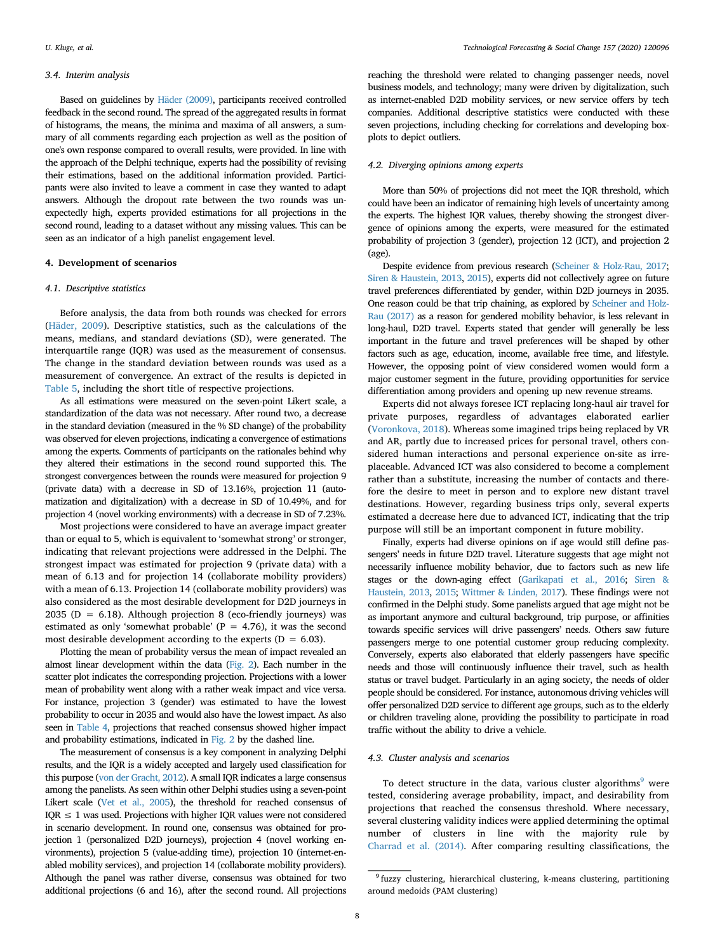#### *3.4. Interim analysis*

Based on guidelines by [Häder \(2009\)](#page-12-54), participants received controlled feedback in the second round. The spread of the aggregated results in format of histograms, the means, the minima and maxima of all answers, a summary of all comments regarding each projection as well as the position of one's own response compared to overall results, were provided. In line with the approach of the Delphi technique, experts had the possibility of revising their estimations, based on the additional information provided. Participants were also invited to leave a comment in case they wanted to adapt answers. Although the dropout rate between the two rounds was unexpectedly high, experts provided estimations for all projections in the second round, leading to a dataset without any missing values. This can be seen as an indicator of a high panelist engagement level.

# <span id="page-7-0"></span>**4. Development of scenarios**

## *4.1. Descriptive statistics*

Before analysis, the data from both rounds was checked for errors ([Häder, 2009](#page-12-54)). Descriptive statistics, such as the calculations of the means, medians, and standard deviations (SD), were generated. The interquartile range (IQR) was used as the measurement of consensus. The change in the standard deviation between rounds was used as a measurement of convergence. An extract of the results is depicted in [Table 5](#page-9-0), including the short title of respective projections.

As all estimations were measured on the seven-point Likert scale, a standardization of the data was not necessary. After round two, a decrease in the standard deviation (measured in the % SD change) of the probability was observed for eleven projections, indicating a convergence of estimations among the experts. Comments of participants on the rationales behind why they altered their estimations in the second round supported this. The strongest convergences between the rounds were measured for projection 9 (private data) with a decrease in SD of 13.16%, projection 11 (automatization and digitalization) with a decrease in SD of 10.49%, and for projection 4 (novel working environments) with a decrease in SD of 7.23%.

Most projections were considered to have an average impact greater than or equal to 5, which is equivalent to 'somewhat strong' or stronger, indicating that relevant projections were addressed in the Delphi. The strongest impact was estimated for projection 9 (private data) with a mean of 6.13 and for projection 14 (collaborate mobility providers) with a mean of 6.13. Projection 14 (collaborate mobility providers) was also considered as the most desirable development for D2D journeys in 2035 (D = 6.18). Although projection 8 (eco-friendly journeys) was estimated as only 'somewhat probable' ( $P = 4.76$ ), it was the second most desirable development according to the experts ( $D = 6.03$ ).

Plotting the mean of probability versus the mean of impact revealed an almost linear development within the data [\(Fig. 2](#page-8-0)). Each number in the scatter plot indicates the corresponding projection. Projections with a lower mean of probability went along with a rather weak impact and vice versa. For instance, projection 3 (gender) was estimated to have the lowest probability to occur in 2035 and would also have the lowest impact. As also seen in [Table 4](#page-8-1), projections that reached consensus showed higher impact and probability estimations, indicated in [Fig. 2](#page-8-0) by the dashed line.

The measurement of consensus is a key component in analyzing Delphi results, and the IQR is a widely accepted and largely used classification for this purpose [\(von der Gracht, 2012](#page-13-12)). A small IQR indicates a large consensus among the panelists. As seen within other Delphi studies using a seven-point Likert scale [\(Vet et al., 2005](#page-13-13)), the threshold for reached consensus of  $IQR \leq 1$  was used. Projections with higher IQR values were not considered in scenario development. In round one, consensus was obtained for projection 1 (personalized D2D journeys), projection 4 (novel working environments), projection 5 (value-adding time), projection 10 (internet-enabled mobility services), and projection 14 (collaborate mobility providers). Although the panel was rather diverse, consensus was obtained for two additional projections (6 and 16), after the second round. All projections

reaching the threshold were related to changing passenger needs, novel business models, and technology; many were driven by digitalization, such as internet-enabled D2D mobility services, or new service offers by tech companies. Additional descriptive statistics were conducted with these seven projections, including checking for correlations and developing boxplots to depict outliers.

#### *4.2. Diverging opinions among experts*

More than 50% of projections did not meet the IQR threshold, which could have been an indicator of remaining high levels of uncertainty among the experts. The highest IQR values, thereby showing the strongest divergence of opinions among the experts, were measured for the estimated probability of projection 3 (gender), projection 12 (ICT), and projection 2 (age).

Despite evidence from previous research ([Scheiner & Holz-Rau, 2017](#page-12-44); [Siren & Haustein, 2013,](#page-12-42) [2015](#page-12-43)), experts did not collectively agree on future travel preferences differentiated by gender, within D2D journeys in 2035. One reason could be that trip chaining, as explored by [Scheiner and Holz-](#page-12-44)[Rau \(2017\)](#page-12-44) as a reason for gendered mobility behavior, is less relevant in long-haul, D2D travel. Experts stated that gender will generally be less important in the future and travel preferences will be shaped by other factors such as age, education, income, available free time, and lifestyle. However, the opposing point of view considered women would form a major customer segment in the future, providing opportunities for service differentiation among providers and opening up new revenue streams.

Experts did not always foresee ICT replacing long-haul air travel for private purposes, regardless of advantages elaborated earlier ([Voronkova, 2018](#page-13-11)). Whereas some imagined trips being replaced by VR and AR, partly due to increased prices for personal travel, others considered human interactions and personal experience on-site as irreplaceable. Advanced ICT was also considered to become a complement rather than a substitute, increasing the number of contacts and therefore the desire to meet in person and to explore new distant travel destinations. However, regarding business trips only, several experts estimated a decrease here due to advanced ICT, indicating that the trip purpose will still be an important component in future mobility.

Finally, experts had diverse opinions on if age would still define passengers' needs in future D2D travel. Literature suggests that age might not necessarily influence mobility behavior, due to factors such as new life stages or the down-aging effect ([Garikapati et al., 2016;](#page-12-41) [Siren &](#page-12-42) [Haustein, 2013,](#page-12-42) [2015;](#page-12-43) [Wittmer & Linden, 2017\)](#page-13-5). These findings were not confirmed in the Delphi study. Some panelists argued that age might not be as important anymore and cultural background, trip purpose, or affinities towards specific services will drive passengers' needs. Others saw future passengers merge to one potential customer group reducing complexity. Conversely, experts also elaborated that elderly passengers have specific needs and those will continuously influence their travel, such as health status or travel budget. Particularly in an aging society, the needs of older people should be considered. For instance, autonomous driving vehicles will offer personalized D2D service to different age groups, such as to the elderly or children traveling alone, providing the possibility to participate in road traffic without the ability to drive a vehicle.

# *4.3. Cluster analysis and scenarios*

To detect structure in the data, various cluster algorithms<sup>9</sup> were tested, considering average probability, impact, and desirability from projections that reached the consensus threshold. Where necessary, several clustering validity indices were applied determining the optimal number of clusters in line with the majority rule by [Charrad et al. \(2014\).](#page-12-55) After comparing resulting classifications, the

<span id="page-7-1"></span><sup>&</sup>lt;sup>9</sup> fuzzy clustering, hierarchical clustering, k-means clustering, partitioning around medoids (PAM clustering)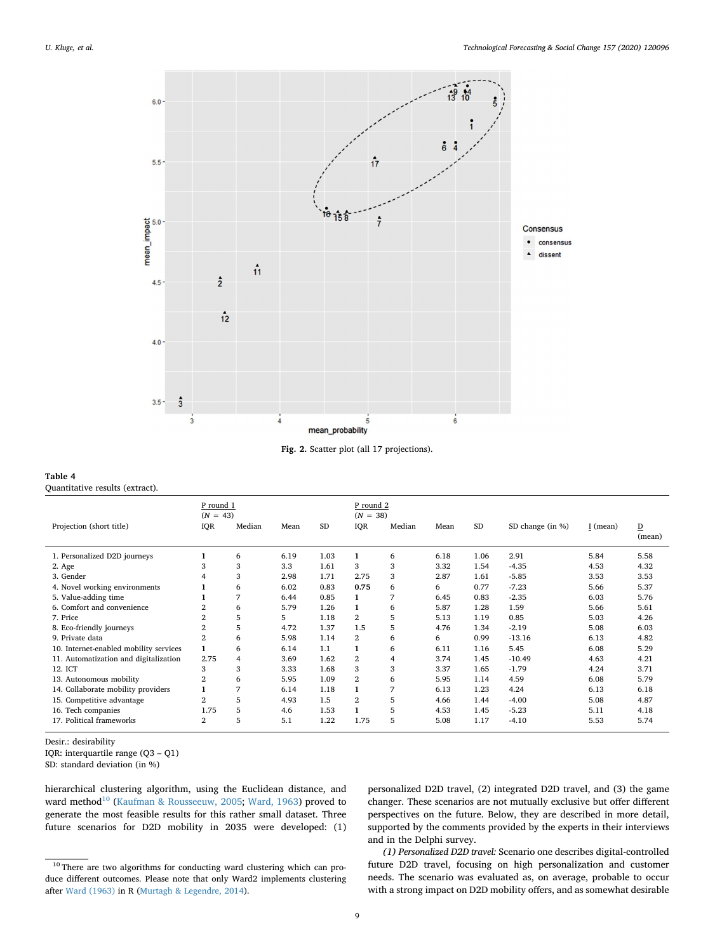<span id="page-8-0"></span>

**Fig. 2.** Scatter plot (all 17 projections).

# <span id="page-8-1"></span>**Table 4**

Quantitative results (extract).

|                                        | P round 1<br>$(N = 43)$ |                |      |           | P round 2<br>$(N = 38)$ |        |      |           |                      |          |                          |
|----------------------------------------|-------------------------|----------------|------|-----------|-------------------------|--------|------|-----------|----------------------|----------|--------------------------|
| Projection (short title)               | IQR                     | Median         | Mean | <b>SD</b> | <b>IQR</b>              | Median | Mean | <b>SD</b> | SD change (in $\%$ ) | I (mean) | $\overline{D}$<br>(mean) |
| 1. Personalized D2D journeys           | $\mathbf{1}$            | 6              | 6.19 | 1.03      | $\mathbf{1}$            | 6      | 6.18 | 1.06      | 2.91                 | 5.84     | 5.58                     |
| 2. Age                                 | 3                       | 3              | 3.3  | 1.61      | 3                       | 3      | 3.32 | 1.54      | $-4.35$              | 4.53     | 4.32                     |
| 3. Gender                              | $\overline{4}$          | 3              | 2.98 | 1.71      | 2.75                    | 3      | 2.87 | 1.61      | $-5.85$              | 3.53     | 3.53                     |
| 4. Novel working environments          |                         | 6              | 6.02 | 0.83      | 0.75                    | 6      | 6    | 0.77      | $-7.23$              | 5.66     | 5.37                     |
| 5. Value-adding time                   |                         | 7              | 6.44 | 0.85      | 1                       | 7      | 6.45 | 0.83      | $-2.35$              | 6.03     | 5.76                     |
| 6. Comfort and convenience             | $\overline{2}$          | 6              | 5.79 | 1.26      | 1                       | 6      | 5.87 | 1.28      | 1.59                 | 5.66     | 5.61                     |
| 7. Price                               | $\overline{2}$          | 5              | 5    | 1.18      | 2                       | 5      | 5.13 | 1.19      | 0.85                 | 5.03     | 4.26                     |
| 8. Eco-friendly journeys               | $\overline{2}$          | 5              | 4.72 | 1.37      | 1.5                     | 5      | 4.76 | 1.34      | $-2.19$              | 5.08     | 6.03                     |
| 9. Private data                        | $\overline{2}$          | 6              | 5.98 | 1.14      | 2                       | 6      | 6    | 0.99      | $-13.16$             | 6.13     | 4.82                     |
| 10. Internet-enabled mobility services |                         | 6              | 6.14 | 1.1       |                         | 6      | 6.11 | 1.16      | 5.45                 | 6.08     | 5.29                     |
| 11. Automatization and digitalization  | 2.75                    | 4              | 3.69 | 1.62      | 2                       | 4      | 3.74 | 1.45      | $-10.49$             | 4.63     | 4.21                     |
| 12. ICT                                | 3                       | 3              | 3.33 | 1.68      | 3                       | 3      | 3.37 | 1.65      | $-1.79$              | 4.24     | 3.71                     |
| 13. Autonomous mobility                | $\overline{2}$          | 6              | 5.95 | 1.09      | $\mathbf{2}$            | 6      | 5.95 | 1.14      | 4.59                 | 6.08     | 5.79                     |
| 14. Collaborate mobility providers     | 1                       | $\overline{7}$ | 6.14 | 1.18      | 1                       | 7      | 6.13 | 1.23      | 4.24                 | 6.13     | 6.18                     |
| 15. Competitive advantage              | 2                       | 5              | 4.93 | 1.5       | $\overline{2}$          | 5      | 4.66 | 1.44      | $-4.00$              | 5.08     | 4.87                     |
| 16. Tech companies                     | 1.75                    | 5              | 4.6  | 1.53      |                         | 5      | 4.53 | 1.45      | $-5.23$              | 5.11     | 4.18                     |
| 17. Political frameworks               | $\overline{2}$          | 5              | 5.1  | 1.22      | 1.75                    | 5      | 5.08 | 1.17      | $-4.10$              | 5.53     | 5.74                     |

Desir.: desirability

IQR: interquartile range (Q3 – Q1)

SD: standard deviation (in %)

hierarchical clustering algorithm, using the Euclidean distance, and ward method<sup>10</sup> [\(Kaufman & Rousseeuw, 2005;](#page-12-56) [Ward, 1963\)](#page-13-14) proved to generate the most feasible results for this rather small dataset. Three future scenarios for D2D mobility in 2035 were developed: (1) personalized D2D travel, (2) integrated D2D travel, and (3) the game changer. These scenarios are not mutually exclusive but offer different perspectives on the future. Below, they are described in more detail, supported by the comments provided by the experts in their interviews and in the Delphi survey.

*(1) Personalized D2D travel:* Scenario one describes digital-controlled future D2D travel, focusing on high personalization and customer needs. The scenario was evaluated as, on average, probable to occur with a strong impact on D2D mobility offers, and as somewhat desirable

<span id="page-8-2"></span> $^{10}$  There are two algorithms for conducting ward clustering which can produce different outcomes. Please note that only Ward2 implements clustering after [Ward \(1963\)](#page-13-14) in R ([Murtagh & Legendre, 2014](#page-12-57)).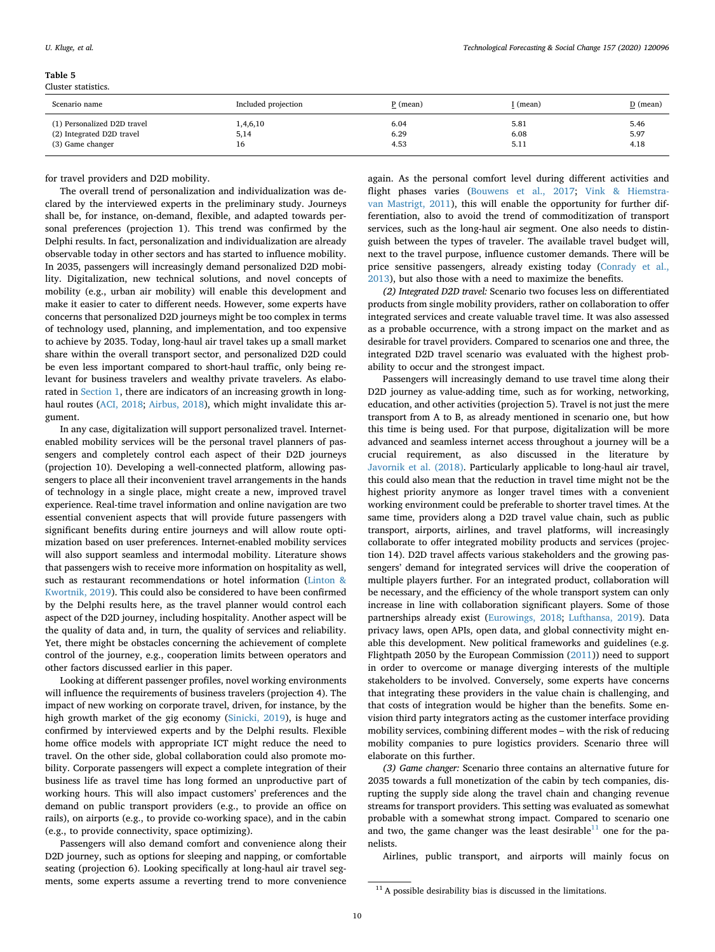Cluster statistics.

## <span id="page-9-0"></span>**Table 5**

| Scenario name               | Included projection | P (mean) | I (mean) | D (mean) |
|-----------------------------|---------------------|----------|----------|----------|
| (1) Personalized D2D travel | ,4,6,10             | 6.04     | 5.81     | 5.46     |
| (2) Integrated D2D travel   | 5,14                | 6.29     | 6.08     | 5.97     |
| (3) Game changer            | 16                  | 4.53     | 5.11     | 4.18     |

for travel providers and D2D mobility.

The overall trend of personalization and individualization was declared by the interviewed experts in the preliminary study. Journeys shall be, for instance, on-demand, flexible, and adapted towards personal preferences (projection 1). This trend was confirmed by the Delphi results. In fact, personalization and individualization are already observable today in other sectors and has started to influence mobility. In 2035, passengers will increasingly demand personalized D2D mobility. Digitalization, new technical solutions, and novel concepts of mobility (e.g., urban air mobility) will enable this development and make it easier to cater to different needs. However, some experts have concerns that personalized D2D journeys might be too complex in terms of technology used, planning, and implementation, and too expensive to achieve by 2035. Today, long-haul air travel takes up a small market share within the overall transport sector, and personalized D2D could be even less important compared to short-haul traffic, only being relevant for business travelers and wealthy private travelers. As elaborated in [Section 1,](#page-0-4) there are indicators of an increasing growth in longhaul routes [\(ACI, 2018](#page-12-16); [Airbus, 2018\)](#page-12-14), which might invalidate this argument.

In any case, digitalization will support personalized travel. Internetenabled mobility services will be the personal travel planners of passengers and completely control each aspect of their D2D journeys (projection 10). Developing a well-connected platform, allowing passengers to place all their inconvenient travel arrangements in the hands of technology in a single place, might create a new, improved travel experience. Real-time travel information and online navigation are two essential convenient aspects that will provide future passengers with significant benefits during entire journeys and will allow route optimization based on user preferences. Internet-enabled mobility services will also support seamless and intermodal mobility. Literature shows that passengers wish to receive more information on hospitality as well, such as restaurant recommendations or hotel information ([Linton &](#page-12-51) [Kwortnik, 2019\)](#page-12-51). This could also be considered to have been confirmed by the Delphi results here, as the travel planner would control each aspect of the D2D journey, including hospitality. Another aspect will be the quality of data and, in turn, the quality of services and reliability. Yet, there might be obstacles concerning the achievement of complete control of the journey, e.g., cooperation limits between operators and other factors discussed earlier in this paper.

Looking at different passenger profiles, novel working environments will influence the requirements of business travelers (projection 4). The impact of new working on corporate travel, driven, for instance, by the high growth market of the gig economy [\(Sinicki, 2019\)](#page-12-45), is huge and confirmed by interviewed experts and by the Delphi results. Flexible home office models with appropriate ICT might reduce the need to travel. On the other side, global collaboration could also promote mobility. Corporate passengers will expect a complete integration of their business life as travel time has long formed an unproductive part of working hours. This will also impact customers' preferences and the demand on public transport providers (e.g., to provide an office on rails), on airports (e.g., to provide co-working space), and in the cabin (e.g., to provide connectivity, space optimizing).

Passengers will also demand comfort and convenience along their D2D journey, such as options for sleeping and napping, or comfortable seating (projection 6). Looking specifically at long-haul air travel segments, some experts assume a reverting trend to more convenience

again. As the personal comfort level during different activities and flight phases varies [\(Bouwens et al., 2017](#page-12-46); [Vink & Hiemstra](#page-13-10)[van Mastrigt, 2011\)](#page-13-10), this will enable the opportunity for further differentiation, also to avoid the trend of commoditization of transport services, such as the long-haul air segment. One also needs to distinguish between the types of traveler. The available travel budget will, next to the travel purpose, influence customer demands. There will be price sensitive passengers, already existing today ([Conrady et al.,](#page-12-47) [2013\)](#page-12-47), but also those with a need to maximize the benefits.

*(2) Integrated D2D travel:* Scenario two focuses less on differentiated products from single mobility providers, rather on collaboration to offer integrated services and create valuable travel time. It was also assessed as a probable occurrence, with a strong impact on the market and as desirable for travel providers. Compared to scenarios one and three, the integrated D2D travel scenario was evaluated with the highest probability to occur and the strongest impact.

Passengers will increasingly demand to use travel time along their D2D journey as value-adding time, such as for working, networking, education, and other activities (projection 5). Travel is not just the mere transport from A to B, as already mentioned in scenario one, but how this time is being used. For that purpose, digitalization will be more advanced and seamless internet access throughout a journey will be a crucial requirement, as also discussed in the literature by [Javornik et al. \(2018\)](#page-12-3). Particularly applicable to long-haul air travel, this could also mean that the reduction in travel time might not be the highest priority anymore as longer travel times with a convenient working environment could be preferable to shorter travel times. At the same time, providers along a D2D travel value chain, such as public transport, airports, airlines, and travel platforms, will increasingly collaborate to offer integrated mobility products and services (projection 14). D2D travel affects various stakeholders and the growing passengers' demand for integrated services will drive the cooperation of multiple players further. For an integrated product, collaboration will be necessary, and the efficiency of the whole transport system can only increase in line with collaboration significant players. Some of those partnerships already exist ([Eurowings, 2018](#page-12-2); [Lufthansa, 2019](#page-12-1)). Data privacy laws, open APIs, open data, and global connectivity might enable this development. New political frameworks and guidelines (e.g. Flightpath 2050 by the European Commission [\(2011](#page-12-58))) need to support in order to overcome or manage diverging interests of the multiple stakeholders to be involved. Conversely, some experts have concerns that integrating these providers in the value chain is challenging, and that costs of integration would be higher than the benefits. Some envision third party integrators acting as the customer interface providing mobility services, combining different modes – with the risk of reducing mobility companies to pure logistics providers. Scenario three will elaborate on this further.

*(3) Game changer:* Scenario three contains an alternative future for 2035 towards a full monetization of the cabin by tech companies, disrupting the supply side along the travel chain and changing revenue streams for transport providers. This setting was evaluated as somewhat probable with a somewhat strong impact. Compared to scenario one and two, the game changer was the least desirable $^{11}$  $^{11}$  $^{11}$  one for the panelists.

Airlines, public transport, and airports will mainly focus on

<span id="page-9-1"></span> $^{11}$  A possible desirability bias is discussed in the limitations.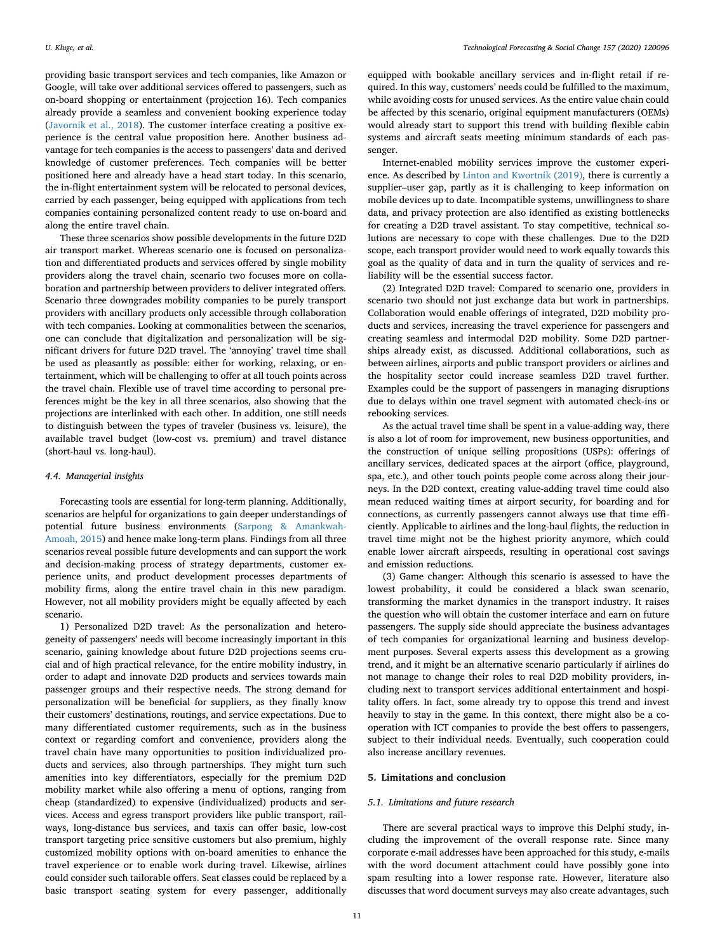providing basic transport services and tech companies, like Amazon or Google, will take over additional services offered to passengers, such as on-board shopping or entertainment (projection 16). Tech companies already provide a seamless and convenient booking experience today ([Javornik et al., 2018\)](#page-12-3). The customer interface creating a positive experience is the central value proposition here. Another business advantage for tech companies is the access to passengers' data and derived knowledge of customer preferences. Tech companies will be better positioned here and already have a head start today. In this scenario, the in-flight entertainment system will be relocated to personal devices, carried by each passenger, being equipped with applications from tech companies containing personalized content ready to use on-board and along the entire travel chain.

These three scenarios show possible developments in the future D2D air transport market. Whereas scenario one is focused on personalization and differentiated products and services offered by single mobility providers along the travel chain, scenario two focuses more on collaboration and partnership between providers to deliver integrated offers. Scenario three downgrades mobility companies to be purely transport providers with ancillary products only accessible through collaboration with tech companies. Looking at commonalities between the scenarios, one can conclude that digitalization and personalization will be significant drivers for future D2D travel. The 'annoying' travel time shall be used as pleasantly as possible: either for working, relaxing, or entertainment, which will be challenging to offer at all touch points across the travel chain. Flexible use of travel time according to personal preferences might be the key in all three scenarios, also showing that the projections are interlinked with each other. In addition, one still needs to distinguish between the types of traveler (business vs. leisure), the available travel budget (low-cost vs. premium) and travel distance (short-haul vs. long-haul).

### *4.4. Managerial insights*

Forecasting tools are essential for long-term planning. Additionally, scenarios are helpful for organizations to gain deeper understandings of potential future business environments [\(Sarpong & Amankwah-](#page-12-59)[Amoah, 2015](#page-12-59)) and hence make long-term plans. Findings from all three scenarios reveal possible future developments and can support the work and decision-making process of strategy departments, customer experience units, and product development processes departments of mobility firms, along the entire travel chain in this new paradigm. However, not all mobility providers might be equally affected by each scenario.

1) Personalized D2D travel: As the personalization and heterogeneity of passengers' needs will become increasingly important in this scenario, gaining knowledge about future D2D projections seems crucial and of high practical relevance, for the entire mobility industry, in order to adapt and innovate D2D products and services towards main passenger groups and their respective needs. The strong demand for personalization will be beneficial for suppliers, as they finally know their customers' destinations, routings, and service expectations. Due to many differentiated customer requirements, such as in the business context or regarding comfort and convenience, providers along the travel chain have many opportunities to position individualized products and services, also through partnerships. They might turn such amenities into key differentiators, especially for the premium D2D mobility market while also offering a menu of options, ranging from cheap (standardized) to expensive (individualized) products and services. Access and egress transport providers like public transport, railways, long-distance bus services, and taxis can offer basic, low-cost transport targeting price sensitive customers but also premium, highly customized mobility options with on-board amenities to enhance the travel experience or to enable work during travel. Likewise, airlines could consider such tailorable offers. Seat classes could be replaced by a basic transport seating system for every passenger, additionally

equipped with bookable ancillary services and in-flight retail if required. In this way, customers' needs could be fulfilled to the maximum, while avoiding costs for unused services. As the entire value chain could be affected by this scenario, original equipment manufacturers (OEMs) would already start to support this trend with building flexible cabin systems and aircraft seats meeting minimum standards of each passenger.

Internet-enabled mobility services improve the customer experience. As described by [Linton and Kwortnik \(2019\)](#page-12-51), there is currently a supplier–user gap, partly as it is challenging to keep information on mobile devices up to date. Incompatible systems, unwillingness to share data, and privacy protection are also identified as existing bottlenecks for creating a D2D travel assistant. To stay competitive, technical solutions are necessary to cope with these challenges. Due to the D2D scope, each transport provider would need to work equally towards this goal as the quality of data and in turn the quality of services and reliability will be the essential success factor.

(2) Integrated D2D travel: Compared to scenario one, providers in scenario two should not just exchange data but work in partnerships. Collaboration would enable offerings of integrated, D2D mobility products and services, increasing the travel experience for passengers and creating seamless and intermodal D2D mobility. Some D2D partnerships already exist, as discussed. Additional collaborations, such as between airlines, airports and public transport providers or airlines and the hospitality sector could increase seamless D2D travel further. Examples could be the support of passengers in managing disruptions due to delays within one travel segment with automated check-ins or rebooking services.

As the actual travel time shall be spent in a value-adding way, there is also a lot of room for improvement, new business opportunities, and the construction of unique selling propositions (USPs): offerings of ancillary services, dedicated spaces at the airport (office, playground, spa, etc.), and other touch points people come across along their journeys. In the D2D context, creating value-adding travel time could also mean reduced waiting times at airport security, for boarding and for connections, as currently passengers cannot always use that time efficiently. Applicable to airlines and the long-haul flights, the reduction in travel time might not be the highest priority anymore, which could enable lower aircraft airspeeds, resulting in operational cost savings and emission reductions.

(3) Game changer: Although this scenario is assessed to have the lowest probability, it could be considered a black swan scenario, transforming the market dynamics in the transport industry. It raises the question who will obtain the customer interface and earn on future passengers. The supply side should appreciate the business advantages of tech companies for organizational learning and business development purposes. Several experts assess this development as a growing trend, and it might be an alternative scenario particularly if airlines do not manage to change their roles to real D2D mobility providers, including next to transport services additional entertainment and hospitality offers. In fact, some already try to oppose this trend and invest heavily to stay in the game. In this context, there might also be a cooperation with ICT companies to provide the best offers to passengers, subject to their individual needs. Eventually, such cooperation could also increase ancillary revenues.

# <span id="page-10-0"></span>**5. Limitations and conclusion**

## *5.1. Limitations and future research*

There are several practical ways to improve this Delphi study, including the improvement of the overall response rate. Since many corporate e-mail addresses have been approached for this study, e-mails with the word document attachment could have possibly gone into spam resulting into a lower response rate. However, literature also discusses that word document surveys may also create advantages, such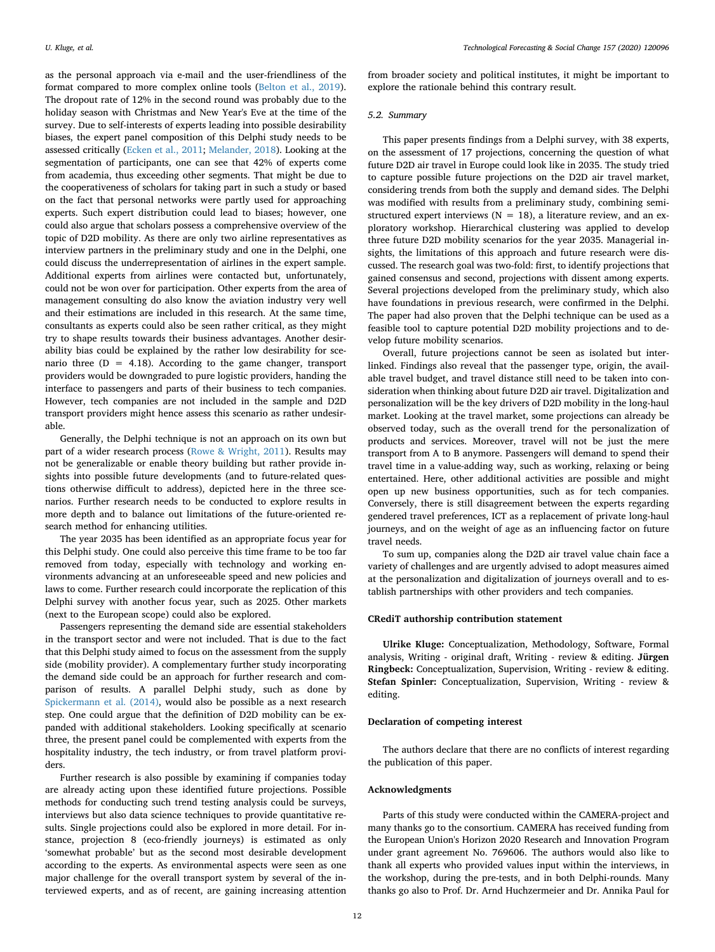as the personal approach via e-mail and the user-friendliness of the format compared to more complex online tools ([Belton et al., 2019](#page-12-34)). The dropout rate of 12% in the second round was probably due to the holiday season with Christmas and New Year's Eve at the time of the survey. Due to self-interests of experts leading into possible desirability biases, the expert panel composition of this Delphi study needs to be assessed critically ([Ecken et al., 2011](#page-12-60); [Melander, 2018\)](#page-12-31). Looking at the segmentation of participants, one can see that 42% of experts come from academia, thus exceeding other segments. That might be due to the cooperativeness of scholars for taking part in such a study or based on the fact that personal networks were partly used for approaching experts. Such expert distribution could lead to biases; however, one could also argue that scholars possess a comprehensive overview of the topic of D2D mobility. As there are only two airline representatives as interview partners in the preliminary study and one in the Delphi, one could discuss the underrepresentation of airlines in the expert sample. Additional experts from airlines were contacted but, unfortunately, could not be won over for participation. Other experts from the area of management consulting do also know the aviation industry very well and their estimations are included in this research. At the same time, consultants as experts could also be seen rather critical, as they might try to shape results towards their business advantages. Another desirability bias could be explained by the rather low desirability for scenario three  $(D = 4.18)$ . According to the game changer, transport providers would be downgraded to pure logistic providers, handing the interface to passengers and parts of their business to tech companies. However, tech companies are not included in the sample and D2D transport providers might hence assess this scenario as rather undesirable.

Generally, the Delphi technique is not an approach on its own but part of a wider research process [\(Rowe & Wright, 2011\)](#page-12-53). Results may not be generalizable or enable theory building but rather provide insights into possible future developments (and to future-related questions otherwise difficult to address), depicted here in the three scenarios. Further research needs to be conducted to explore results in more depth and to balance out limitations of the future-oriented research method for enhancing utilities.

The year 2035 has been identified as an appropriate focus year for this Delphi study. One could also perceive this time frame to be too far removed from today, especially with technology and working environments advancing at an unforeseeable speed and new policies and laws to come. Further research could incorporate the replication of this Delphi survey with another focus year, such as 2025. Other markets (next to the European scope) could also be explored.

Passengers representing the demand side are essential stakeholders in the transport sector and were not included. That is due to the fact that this Delphi study aimed to focus on the assessment from the supply side (mobility provider). A complementary further study incorporating the demand side could be an approach for further research and comparison of results. A parallel Delphi study, such as done by [Spickermann et al. \(2014\)](#page-12-27), would also be possible as a next research step. One could argue that the definition of D2D mobility can be expanded with additional stakeholders. Looking specifically at scenario three, the present panel could be complemented with experts from the hospitality industry, the tech industry, or from travel platform providers.

Further research is also possible by examining if companies today are already acting upon these identified future projections. Possible methods for conducting such trend testing analysis could be surveys, interviews but also data science techniques to provide quantitative results. Single projections could also be explored in more detail. For instance, projection 8 (eco-friendly journeys) is estimated as only 'somewhat probable' but as the second most desirable development according to the experts. As environmental aspects were seen as one major challenge for the overall transport system by several of the interviewed experts, and as of recent, are gaining increasing attention

from broader society and political institutes, it might be important to explore the rationale behind this contrary result.

# *5.2. Summary*

This paper presents findings from a Delphi survey, with 38 experts, on the assessment of 17 projections, concerning the question of what future D2D air travel in Europe could look like in 2035. The study tried to capture possible future projections on the D2D air travel market, considering trends from both the supply and demand sides. The Delphi was modified with results from a preliminary study, combining semistructured expert interviews ( $N = 18$ ), a literature review, and an exploratory workshop. Hierarchical clustering was applied to develop three future D2D mobility scenarios for the year 2035. Managerial insights, the limitations of this approach and future research were discussed. The research goal was two-fold: first, to identify projections that gained consensus and second, projections with dissent among experts. Several projections developed from the preliminary study, which also have foundations in previous research, were confirmed in the Delphi. The paper had also proven that the Delphi technique can be used as a feasible tool to capture potential D2D mobility projections and to develop future mobility scenarios.

Overall, future projections cannot be seen as isolated but interlinked. Findings also reveal that the passenger type, origin, the available travel budget, and travel distance still need to be taken into consideration when thinking about future D2D air travel. Digitalization and personalization will be the key drivers of D2D mobility in the long-haul market. Looking at the travel market, some projections can already be observed today, such as the overall trend for the personalization of products and services. Moreover, travel will not be just the mere transport from A to B anymore. Passengers will demand to spend their travel time in a value-adding way, such as working, relaxing or being entertained. Here, other additional activities are possible and might open up new business opportunities, such as for tech companies. Conversely, there is still disagreement between the experts regarding gendered travel preferences, ICT as a replacement of private long-haul journeys, and on the weight of age as an influencing factor on future travel needs.

To sum up, companies along the D2D air travel value chain face a variety of challenges and are urgently advised to adopt measures aimed at the personalization and digitalization of journeys overall and to establish partnerships with other providers and tech companies.

# **CRediT authorship contribution statement**

**Ulrike Kluge:** Conceptualization, Methodology, Software, Formal analysis, Writing - original draft, Writing - review & editing. **Jürgen Ringbeck:** Conceptualization, Supervision, Writing - review & editing. **Stefan Spinler:** Conceptualization, Supervision, Writing - review & editing.

# **Declaration of competing interest**

The authors declare that there are no conflicts of interest regarding the publication of this paper.

# **Acknowledgments**

Parts of this study were conducted within the CAMERA-project and many thanks go to the consortium. CAMERA has received funding from the European Union's Horizon 2020 Research and Innovation Program under grant agreement No. 769606. The authors would also like to thank all experts who provided values input within the interviews, in the workshop, during the pre-tests, and in both Delphi-rounds. Many thanks go also to Prof. Dr. Arnd Huchzermeier and Dr. Annika Paul for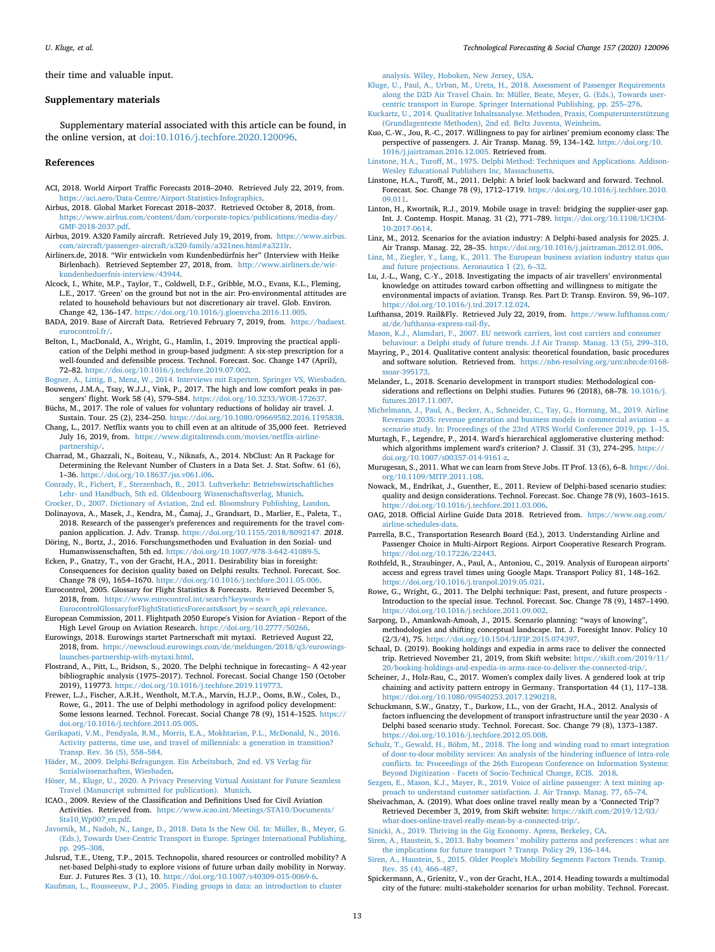their time and valuable input.

#### **Supplementary materials**

Supplementary material associated with this article can be found, in the online version, at [doi:10.1016/j.techfore.2020.120096](https://doi.org/10.1016/j.techfore.2020.120096).

## **References**

- <span id="page-12-16"></span>ACI, 2018. World Airport Traffic Forecasts 2018–2040. Retrieved July 22, 2019, from. [https://aci.aero/Data-Centre/Airport-Statistics-Infographics](http://https://aci.aero/Data-Centre/Airport-Statistics-Infographics).
- <span id="page-12-14"></span>Airbus, 2018. Global Market Forecast 2018–2037. Retrieved October 8, 2018, from. [https://www.airbus.com/content/dam/corporate-topics/publications/media-day/](http://https://www.airbus.com/content/dam/corporate-topics/publications/media-day/GMF-2018-2037.pdf) [GMF-2018-2037.pdf.](http://https://www.airbus.com/content/dam/corporate-topics/publications/media-day/GMF-2018-2037.pdf)
- <span id="page-12-17"></span>Airbus, 2019. A320 Family aircraft. Retrieved July 19, 2019, from. [https://www.airbus.](http://https://www.airbus.com/aircraft/passenger-aircraft/a320-family/a321neo.html#a321lr) [com/aircraft/passenger-aircraft/a320-family/a321neo.html#a321lr](http://https://www.airbus.com/aircraft/passenger-aircraft/a320-family/a321neo.html#a321lr).
- <span id="page-12-0"></span>Airliners.de, 2018. "Wir entwickeln vom Kundenbedürfnis her" (Interview with Heike Birlenbach). Retrieved September 27, 2018, from. [http://www.airliners.de/wir](http://http://www.airliners.de/wir-kundenbeduerfnis-interview/43944)[kundenbeduerfnis-interview/43944](http://http://www.airliners.de/wir-kundenbeduerfnis-interview/43944).
- <span id="page-12-48"></span>Alcock, I., White, M.P., Taylor, T., Coldwell, D.F., Gribble, M.O., Evans, K.L., Fleming, L.E., 2017. 'Green' on the ground but not in the air: Pro-environmental attitudes are related to household behaviours but not discretionary air travel. Glob. Environ. Change 42, 136–147. <https://doi.org/10.1016/j.gloenvcha.2016.11.005>.
- <span id="page-12-18"></span>BADA, 2019. Base of Aircraft Data. Retrieved February 7, 2019, from. [https://badaext.](http://https://badaext.eurocontrol.fr/) [eurocontrol.fr/.](http://https://badaext.eurocontrol.fr/)
- <span id="page-12-34"></span>Belton, I., MacDonald, A., Wright, G., Hamlin, I., 2019. Improving the practical application of the Delphi method in group-based judgment: A six-step prescription for a well-founded and defensible process. Technol. Forecast. Soc. Change 147 (April), 72–82. <https://doi.org/10.1016/j.techfore.2019.07.002>.
- <span id="page-12-46"></span><span id="page-12-35"></span>[Bogner, A., Littig, B., Menz, W., 2014. Interviews mit Experten. Springer VS, Wiesbaden.](http://refhub.elsevier.com/S0040-1625(20)30922-7/sbref0008) Bouwens, J.M.A., Tsay, W.J.J., Vink, P., 2017. The high and low comfort peaks in passengers' flight. Work 58 (4), 579–584. [https://doi.org/10.3233/WOR-172637.](https://doi.org/10.3233/WOR-172637)
- <span id="page-12-49"></span>Büchs, M., 2017. The role of values for voluntary reductions of holiday air travel. J. Sustain. Tour. 25 (2), 234–250. <https://doi.org/10.1080/09669582.2016.1195838>.
- <span id="page-12-52"></span>Chang, L., 2017. Netflix wants you to chill even at an altitude of 35,000 feet. Retrieved July 16, 2019, from. [https://www.digitaltrends.com/movies/netflix-airline](http://https://www.digitaltrends.com/movies/netflix-airline-partnership/)[partnership/](http://https://www.digitaltrends.com/movies/netflix-airline-partnership/).
- <span id="page-12-55"></span>Charrad, M., Ghazzali, N., Boiteau, V., Niknafs, A., 2014. NbClust: An R Package for Determining the Relevant Number of Clusters in a Data Set. J. Stat. Softw. 61 (6), 1–36. [https://doi.org/10.18637/jss.v061.i06.](https://doi.org/10.18637/jss.v061.i06)
- <span id="page-12-47"></span>[Conrady, R., Fichert, F., Sterzenbach, R., 2013. Luftverkehr: Betriebswirtschaftliches](http://refhub.elsevier.com/S0040-1625(20)30922-7/sbref0013) [Lehr- und Handbuch, 5th ed. Oldenbourg Wissenschaftsverlag, Munich.](http://refhub.elsevier.com/S0040-1625(20)30922-7/sbref0013)
- <span id="page-12-19"></span><span id="page-12-12"></span>[Crocker, D., 2007. Dictionary of Aviation, 2nd ed. Bloomsbury Publishing, London](http://refhub.elsevier.com/S0040-1625(20)30922-7/sbref0014). Dolinayova, A., Masek, J., Kendra, M., Čamaj, J., Grandsart, D., Marlier, E., Paleta, T., 2018. Research of the passenger's preferences and requirements for the travel companion application. J. Adv. Transp. [https://doi.org/10.1155/2018/8092147.](https://doi.org/10.1155/2018/8092147) *2018*.
- <span id="page-12-8"></span>Döring, N., Bortz, J., 2016. Forschungsmethoden und Evaluation in den Sozial- und Humanwissenschaften, 5th ed. <https://doi.org/10.1007/978-3-642-41089-5>.
- <span id="page-12-60"></span>Ecken, P., Gnatzy, T., von der Gracht, H.A., 2011. Desirability bias in foresight: Consequences for decision quality based on Delphi results. Technol. Forecast. Soc. Change 78 (9), 1654–1670. <https://doi.org/10.1016/j.techfore.2011.05.006>.
- <span id="page-12-13"></span>Eurocontrol, 2005. Glossary for Flight Statistics & Forecasts. Retrieved December 5, 2018, from. [https://www.eurocontrol.int/search?keywords=](http://https://www.eurocontrol.int/search?keywords=EurocontrolGlossaryforFlightStatisticsForecasts&sort_by=search_api_relevance) [EurocontrolGlossaryforFlightStatisticsForecasts&sort\\_by=search\\_api\\_relevance.](http://https://www.eurocontrol.int/search?keywords=EurocontrolGlossaryforFlightStatisticsForecasts&sort_by=search_api_relevance)
- <span id="page-12-58"></span>European Commission, 2011. Flightpath 2050 Europe's Vision for Aviation - Report of the High Level Group on Aviation Research. <https://doi.org/10.2777/50266>.
- <span id="page-12-2"></span>Eurowings, 2018. Eurowings startet Partnerschaft mit mytaxi. Retrieved August 22, 2018, from. [https://newscloud.eurowings.com/de/meldungen/2018/q3/eurowings](http://https://newscloud.eurowings.com/de/meldungen/2018/q3/eurowings-launches-partnership-with-mytaxi.html)[launches-partnership-with-mytaxi.html.](http://https://newscloud.eurowings.com/de/meldungen/2018/q3/eurowings-launches-partnership-with-mytaxi.html)
- <span id="page-12-11"></span>Flostrand, A., Pitt, L., Bridson, S., 2020. The Delphi technique in forecasting– A 42-year bibliographic analysis (1975–2017). Technol. Forecast. Social Change 150 (October 2019), 119773. [https://doi.org/10.1016/j.techfore.2019.119773.](https://doi.org/10.1016/j.techfore.2019.119773)
- <span id="page-12-38"></span>Frewer, L.J., Fischer, A.R.H., Wentholt, M.T.A., Marvin, H.J.P., Ooms, B.W., Coles, D., Rowe, G., 2011. The use of Delphi methodology in agrifood policy development: Some lessons learned. Technol. Forecast. Social Change 78 (9), 1514–1525. [https://](https://doi.org/10.1016/j.techfore.2011.05.005) [doi.org/10.1016/j.techfore.2011.05.005.](https://doi.org/10.1016/j.techfore.2011.05.005)
- <span id="page-12-41"></span>[Garikapati, V.M., Pendyala, R.M., Morris, E.A., Mokhtarian, P.L., McDonald, N., 2016.](http://refhub.elsevier.com/S0040-1625(20)30922-7/sbref0023) [Activity patterns, time use, and travel of millennials: a generation in transition?](http://refhub.elsevier.com/S0040-1625(20)30922-7/sbref0023) [Transp. Rev. 36 \(5\), 558–584.](http://refhub.elsevier.com/S0040-1625(20)30922-7/sbref0023)
- <span id="page-12-54"></span>[Häder, M., 2009. Delphi-Befragungen. Ein Arbeitsbuch, 2nd ed. VS Verlag für](http://refhub.elsevier.com/S0040-1625(20)30922-7/sbref0024) [Sozialwissenschaften, Wiesbaden](http://refhub.elsevier.com/S0040-1625(20)30922-7/sbref0024).
- <span id="page-12-21"></span>[Höser, M., Kluge, U., 2020. A Privacy Preserving Virtual Assistant for Future Seamless](http://refhub.elsevier.com/S0040-1625(20)30922-7/sbref0025) [Travel \(Manuscript submitted for publication\). Munich](http://refhub.elsevier.com/S0040-1625(20)30922-7/sbref0025).
- <span id="page-12-25"></span>ICAO., 2009. Review of the Classification and Definitions Used for Civil Aviation Activities. Retrieved from. [https://www.icao.int/Meetings/STA10/Documents/](https://www.icao.int/Meetings/STA10/Documents/Sta10_Wp007_en.pdf) [Sta10\\_Wp007\\_en.pdf.](https://www.icao.int/Meetings/STA10/Documents/Sta10_Wp007_en.pdf)
- <span id="page-12-3"></span>[Javornik, M., Nadoh, N., Lange, D., 2018. Data Is the New Oil. In: Müller, B., Meyer, G.](http://refhub.elsevier.com/S0040-1625(20)30922-7/sbref0027) [\(Eds.\), Towards User-Centric Transport in Europe. Springer International Publishing,](http://refhub.elsevier.com/S0040-1625(20)30922-7/sbref0027) [pp. 295–308](http://refhub.elsevier.com/S0040-1625(20)30922-7/sbref0027).
- <span id="page-12-26"></span>Julsrud, T.E., Uteng, T.P., 2015. Technopolis, shared resources or controlled mobility? A net-based Delphi-study to explore visions of future urban daily mobility in Norway. Eur. J. Futures Res. 3 (1), 10. <https://doi.org/10.1007/s40309-015-0069-6>.
- <span id="page-12-56"></span>[Kaufman, L., Rousseeuw, P.J., 2005. Finding groups in data: an introduction to cluster](http://refhub.elsevier.com/S0040-1625(20)30922-7/sbref0029)

[analysis. Wiley, Hoboken, New Jersey, USA.](http://refhub.elsevier.com/S0040-1625(20)30922-7/sbref0029)

- <span id="page-12-22"></span>[Kluge, U., Paul, A., Urban, M., Ureta, H., 2018. Assessment of Passenger Requirements](http://refhub.elsevier.com/S0040-1625(20)30922-7/sbref0030) [along the D2D Air Travel Chain. In: Müller, Beate, Meyer, G. \(Eds.\), Towards user](http://refhub.elsevier.com/S0040-1625(20)30922-7/sbref0030)[centric transport in Europe. Springer International Publishing, pp. 255–276.](http://refhub.elsevier.com/S0040-1625(20)30922-7/sbref0030)
- <span id="page-12-36"></span>[Kuckartz, U., 2014. Qualitative Inhaltsanalyse. Methoden, Praxis, Computerunterstützung](http://refhub.elsevier.com/S0040-1625(20)30922-7/sbref0031) [\(Grundlagentexte Methoden\), 2nd ed. Beltz Juventa, Weinheim](http://refhub.elsevier.com/S0040-1625(20)30922-7/sbref0031).
- <span id="page-12-5"></span>Kuo, C.-W., Jou, R.-C., 2017. Willingness to pay for airlines' premium economy class: The perspective of passengers. J. Air Transp. Manag. 59, 134–142. [https://doi.org/10.](https://doi.org/10.1016/j.jairtraman.2016.12.005) [1016/j.jairtraman.2016.12.005.](https://doi.org/10.1016/j.jairtraman.2016.12.005) Retrieved from.
- <span id="page-12-9"></span>[Linstone, H.A., Turoff, M., 1975. Delphi Method: Techniques and Applications. Addison-](http://refhub.elsevier.com/S0040-1625(20)30922-7/sbref0033)[Wesley Educational Publishers Inc, Massachusetts.](http://refhub.elsevier.com/S0040-1625(20)30922-7/sbref0033)
- <span id="page-12-10"></span>Linstone, H.A., Turoff, M., 2011. Delphi: A brief look backward and forward. Technol. Forecast. Soc. Change 78 (9), 1712–1719. [https://doi.org/10.1016/j.techfore.2010.](https://doi.org/10.1016/j.techfore.2010.09.011) [09.011](https://doi.org/10.1016/j.techfore.2010.09.011).
- <span id="page-12-51"></span>Linton, H., Kwortnik, R.J., 2019. Mobile usage in travel: bridging the supplier-user gap. Int. J. Contemp. Hospit. Manag. 31 (2), 771–789. [https://doi.org/10.1108/IJCHM-](https://doi.org/10.1108/IJCHM-10-2017-0614)[10-2017-0614.](https://doi.org/10.1108/IJCHM-10-2017-0614)
- <span id="page-12-24"></span>Linz, M., 2012. Scenarios for the aviation industry: A Delphi-based analysis for 2025. J. Air Transp. Manag. 22, 28–35. [https://doi.org/10.1016/j.jairtraman.2012.01.006.](https://doi.org/10.1016/j.jairtraman.2012.01.006)
- <span id="page-12-29"></span>[Linz, M., Ziegler, Y., Lang, K., 2011. The European business aviation industry status quo](http://refhub.elsevier.com/S0040-1625(20)30922-7/sbref0076) [and future projections. Aeronautica 1 \(2\), 6–32.](http://refhub.elsevier.com/S0040-1625(20)30922-7/sbref0076)
- <span id="page-12-50"></span>Lu, J.-L., Wang, C.-Y., 2018. Investigating the impacts of air travellers' environmental knowledge on attitudes toward carbon offsetting and willingness to mitigate the environmental impacts of aviation. Transp. Res. Part D: Transp. Environ. 59, 96–107. [https://doi.org/10.1016/j.trd.2017.12.024.](https://doi.org/10.1016/j.trd.2017.12.024)
- <span id="page-12-1"></span>Lufthansa, 2019. Rail&Fly. Retrieved July 22, 2019, from. [https://www.lufthansa.com/](http://https://www.lufthansa.com/at/de/lufthansa-express-rail-fly) [at/de/lufthansa-express-rail-fly.](http://https://www.lufthansa.com/at/de/lufthansa-express-rail-fly)
- <span id="page-12-28"></span>[Mason, K.J., Alamdari, F., 2007. EU network carriers, lost cost carriers and consumer](http://refhub.elsevier.com/S0040-1625(20)30922-7/sbref0039) [behaviour: a Delphi study of future trends. J.f Air Transp. Manag. 13 \(5\), 299–310](http://refhub.elsevier.com/S0040-1625(20)30922-7/sbref0039).
- <span id="page-12-37"></span>Mayring, P., 2014. Qualitative content analysis: theoretical foundation, basic procedures and software solution. Retrieved from. [https://nbn-resolving.org/urn:nbn:de:0168](http://https://nbn-resolving.org/urn:nbn:de:0168-ssoar-395173) [ssoar-395173](http://https://nbn-resolving.org/urn:nbn:de:0168-ssoar-395173).
- <span id="page-12-31"></span>Melander, L., 2018. Scenario development in transport studies: Methodological considerations and reflections on Delphi studies. Futures 96 (2018), 68–78. [10.1016/j.](http://10.1016/j.futures.2017.11.007) [futures.2017.11.007.](http://10.1016/j.futures.2017.11.007)
- <span id="page-12-30"></span>[Michelmann, J., Paul, A., Becker, A., Schneider, C., Tay, G., Hornung, M., 2019. Airline](http://refhub.elsevier.com/S0040-1625(20)30922-7/sbref0042) [Revenues 2035: revenue generation and business models in commercial aviation – a](http://refhub.elsevier.com/S0040-1625(20)30922-7/sbref0042) [scenario study. In: Proceedings of the 23rd ATRS World Conference 2019, pp. 1–15.](http://refhub.elsevier.com/S0040-1625(20)30922-7/sbref0042)
- <span id="page-12-57"></span>Murtagh, F., Legendre, P., 2014. Ward's hierarchical agglomerative clustering method: which algorithms implement ward's criterion? J. Classif. 31 (3), 274–295. [https://](https://doi.org/10.1007/s00357-014-9161-z) [doi.org/10.1007/s00357-014-9161-z.](https://doi.org/10.1007/s00357-014-9161-z)
- <span id="page-12-7"></span>Murugesan, S., 2011. What we can learn from Steve Jobs. IT Prof. 13 (6), 6–8. [https://doi.](https://doi.org/10.1109/MITP.2011.108) [org/10.1109/MITP.2011.108](https://doi.org/10.1109/MITP.2011.108).
- <span id="page-12-32"></span>Nowack, M., Endrikat, J., Guenther, E., 2011. Review of Delphi-based scenario studies: quality and design considerations. Technol. Forecast. Soc. Change 78 (9), 1603–1615. [https://doi.org/10.1016/j.techfore.2011.03.006.](https://doi.org/10.1016/j.techfore.2011.03.006)
- <span id="page-12-15"></span>OAG, 2018. Official Airline Guide Data 2018. Retrieved from. [https://www.oag.com/](https://www.oag.com/airline-schedules-data) [airline-schedules-data](https://www.oag.com/airline-schedules-data).
- <span id="page-12-4"></span>Parrella, B.C., Transportation Research Board (Ed.), 2013. Understanding Airline and Passenger Choice in Multi-Airport Regions. Airport Cooperative Research Program. [https://doi.org/10.17226/22443.](https://doi.org/10.17226/22443)
- <span id="page-12-23"></span>Rothfeld, R., Straubinger, A., Paul, A., Antoniou, C., 2019. Analysis of European airports' access and egress travel times using Google Maps. Transport Policy 81, 148–162. <https://doi.org/10.1016/j.tranpol.2019.05.021>.
- <span id="page-12-53"></span>Rowe, G., Wright, G., 2011. The Delphi technique: Past, present, and future prospects - Introduction to the special issue. Technol. Forecast. Soc. Change 78 (9), 1487–1490. [https://doi.org/10.1016/j.techfore.2011.09.002.](https://doi.org/10.1016/j.techfore.2011.09.002)

<span id="page-12-59"></span>Sarpong, D., Amankwah-Amoah, J., 2015. Scenario planning: "ways of knowing", methodologies and shifting conceptual landscape. Int. J. Foresight Innov. Policy 10 (2/3/4), 75. <https://doi.org/10.1504/IJFIP.2015.074397>.

- <span id="page-12-39"></span>Schaal, D. (2019). Booking holdings and expedia in arms race to deliver the connected trip. Retrieved November 21, 2019, from Skift website: [https://skift.com/2019/11/](http://https://skift.com/2019/11/20/booking-holdings-and-expedia-in-arms-race-to-deliver-the-connected-trip/) [20/booking-holdings-and-expedia-in-arms-race-to-deliver-the-connected-trip/.](http://https://skift.com/2019/11/20/booking-holdings-and-expedia-in-arms-race-to-deliver-the-connected-trip/)
- <span id="page-12-44"></span>Scheiner, J., Holz-Rau, C., 2017. Women's complex daily lives. A gendered look at trip chaining and activity pattern entropy in Germany. Transportation 44 (1), 117–138. <https://doi.org/10.1080/09540253.2017.1290218>.
- <span id="page-12-33"></span>Schuckmann, S.W., Gnatzy, T., Darkow, I.L., von der Gracht, H.A., 2012. Analysis of factors influencing the development of transport infrastructure until the year 2030 - A Delphi based scenario study. Technol. Forecast. Soc. Change 79 (8), 1373–1387. [https://doi.org/10.1016/j.techfore.2012.05.008.](https://doi.org/10.1016/j.techfore.2012.05.008)
- <span id="page-12-20"></span>[Schulz, T., Gewald, H., Böhm, M., 2018. The long and winding road to smart integration](http://refhub.elsevier.com/S0040-1625(20)30922-7/sbref0053) [of door-to-door mobility services: An analysis of the hindering influence of intra-role](http://refhub.elsevier.com/S0040-1625(20)30922-7/sbref0053) [conflicts. In: Proceedings of the 26th European Conference on Information Systems:](http://refhub.elsevier.com/S0040-1625(20)30922-7/sbref0053) [Beyond Digitization - Facets of Socio-Technical Change, ECIS. 2018](http://refhub.elsevier.com/S0040-1625(20)30922-7/sbref0053).
- <span id="page-12-6"></span>[Sezgen, E., Mason, K.J., Mayer, R., 2019. Voice of airline passenger: A text mining ap](http://refhub.elsevier.com/S0040-1625(20)30922-7/sbref0054)[proach to understand customer satisfaction. J. Air Transp. Manag. 77, 65–74.](http://refhub.elsevier.com/S0040-1625(20)30922-7/sbref0054)
- <span id="page-12-40"></span>Sheivachman, A. (2019). What does online travel really mean by a 'Connected Trip'? Retrieved December 3, 2019, from Skift website: [https://skift.com/2019/12/03/](http://https://skift.com/2019/12/03/what-does-online-travel-really-mean-by-a-connected-trip/) [what-does-online-travel-really-mean-by-a-connected-trip/](http://https://skift.com/2019/12/03/what-does-online-travel-really-mean-by-a-connected-trip/).
- <span id="page-12-45"></span><span id="page-12-42"></span>[Sinicki, A., 2019. Thriving in the Gig Economy. Apress, Berkeley, CA.](http://refhub.elsevier.com/S0040-1625(20)30922-7/sbref0055) [Siren, A., Haustein, S., 2013. Baby boomers ' mobility patterns and preferences : what are](http://refhub.elsevier.com/S0040-1625(20)30922-7/sbref0056)
- [the implications for future transport ? Transp. Policy 29, 136–144](http://refhub.elsevier.com/S0040-1625(20)30922-7/sbref0056).
- <span id="page-12-43"></span>[Siren, A., Haustein, S., 2015. Older People's Mobility Segments Factors Trends. Transp.](http://refhub.elsevier.com/S0040-1625(20)30922-7/sbref0057) [Rev. 35 \(4\), 466–487](http://refhub.elsevier.com/S0040-1625(20)30922-7/sbref0057).
- <span id="page-12-27"></span>Spickermann, A., Grienitz, V., von der Gracht, H.A., 2014. Heading towards a multimodal city of the future: multi-stakeholder scenarios for urban mobility. Technol. Forecast.